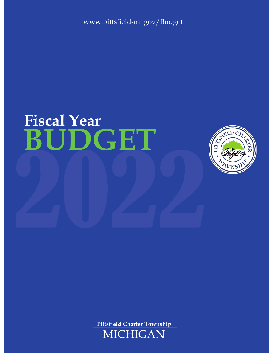www.pittsfield-mi.gov/Budget

# **BUDGET Fiscal Year**



**Pittsfield Charter Township**

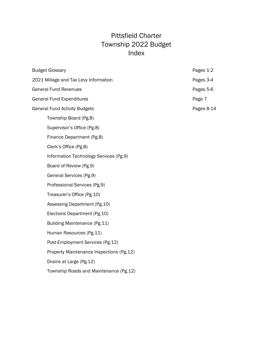# Pittsfield Charter Township 2022 Budget Index

| <b>Budget Glossary</b>                   | Pages 1-2  |
|------------------------------------------|------------|
| 2021 Millage and Tax Levy Information    | Pages 3-4  |
| <b>General Fund Revenues</b>             | Pages 5-6  |
| <b>General Fund Expenditures</b>         | Page 7     |
| <b>General Fund Activity Budgets</b>     | Pages 8-14 |
| Township Board (Pg.8)                    |            |
| Supervisor's Office (Pg.8)               |            |
| Finance Department (Pg.8)                |            |
| Clerk's Office (Pg.8)                    |            |
| Information Technology Services (Pg.9)   |            |
| Board of Review (Pg.9)                   |            |
| General Services (Pg.9)                  |            |
| Professional Services (Pg.9)             |            |
| Treasurer's Office (Pg.10)               |            |
| Assessing Department (Pg.10)             |            |
| Elections Department (Pg.10)             |            |
| Building Maintenance (Pg.11)             |            |
| Human Resources (Pg.11)                  |            |
| Post-Employment Services (Pg.12)         |            |
| Property Maintenance Inspections (Pg.12) |            |
| Drains at Large (Pg.12)                  |            |
| Township Roads and Maintenance (Pg.12)   |            |
|                                          |            |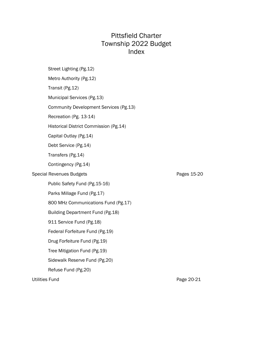# Pittsfield Charter Township 2022 Budget Index

|                       | Street Lighting (Pg.12)                |             |
|-----------------------|----------------------------------------|-------------|
|                       | Metro Authority (Pg.12)                |             |
|                       | Transit (Pg.12)                        |             |
|                       | Municipal Services (Pg.13)             |             |
|                       | Community Development Services (Pg.13) |             |
|                       | Recreation (Pg. 13-14)                 |             |
|                       | Historical District Commission (Pg.14) |             |
|                       | Capital Outlay (Pg.14)                 |             |
|                       | Debt Service (Pg.14)                   |             |
|                       | Transfers (Pg.14)                      |             |
|                       | Contingency (Pg.14)                    |             |
|                       | <b>Special Revenues Budgets</b>        | Pages 15-20 |
|                       | Public Safety Fund (Pg.15-16)          |             |
|                       | Parks Millage Fund (Pg.17)             |             |
|                       | 800 MHz Communications Fund (Pg.17)    |             |
|                       | Building Department Fund (Pg.18)       |             |
|                       | 911 Service Fund (Pg.18)               |             |
|                       | Federal Forfeiture Fund (Pg.19)        |             |
|                       | Drug Forfeiture Fund (Pg.19)           |             |
|                       | Tree Mitigation Fund (Pg.19)           |             |
|                       | Sidewalk Reserve Fund (Pg.20)          |             |
|                       | Refuse Fund (Pg.20)                    |             |
| <b>Utilities Fund</b> |                                        | Page 20-21  |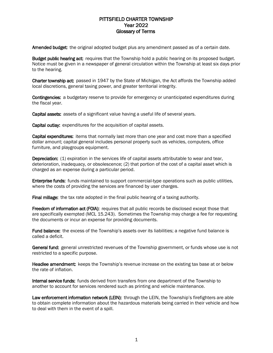# PITTSFIELD CHARTER TOWNSHIP Year 2022 Glossary of Terms

Amended budget: the original adopted budget plus any amendment passed as of a certain date.

Budget public hearing act: requires that the Township hold a public hearing on its proposed budget. Notice must be given in a newspaper of general circulation within the Township at least six days prior to the hearing.

Charter township act: passed in 1947 by the State of Michigan, the Act affords the Township added local discretions, general taxing power, and greater territorial integrity.

**Contingencies:** a budgetary reserve to provide for emergency or unanticipated expenditures during the fiscal year.

Capital assets: assets of a significant value having a useful life of several years.

Capital outlay: expenditures for the acquisition of capital assets.

Capital expenditures: items that normally last more than one year and cost more than a specified dollar amount; capital general includes personal property such as vehicles, computers, office furniture, and playgroups equipment.

Depreciation: (1) expiration in the services life of capital assets attributable to wear and tear, deterioration, inadequacy, or obsolescence; (2) that portion of the cost of a capital asset which is charged as an expense during a particular period.

Enterprise funds: funds maintained to support commercial-type operations such as public utilities, where the costs of providing the services are financed by user charges.

Final millage: the tax rate adopted in the final public hearing of a taxing authority.

Freedom of information act (FOIA): requires that all public records be disclosed except those that are specifically exempted (MCL 15.243). Sometimes the Township may charge a fee for requesting the documents or incur an expense for providing documents.

Fund balance: the excess of the Township's assets over its liabilities; a negative fund balance is called a deficit.

General fund: general unrestricted revenues of the Township government, or funds whose use is not restricted to a specific purpose.

**Headlee amendment:** keeps the Township's revenue increase on the existing tax base at or below the rate of inflation.

Internal service funds: funds derived from transfers from one department of the Township to another to account for services rendered such as printing and vehicle maintenance.

Law enforcement information network (LEIN): through the LEIN, the Township's firefighters are able to obtain complete information about the hazardous materials being carried in their vehicle and how to deal with them in the event of a spill.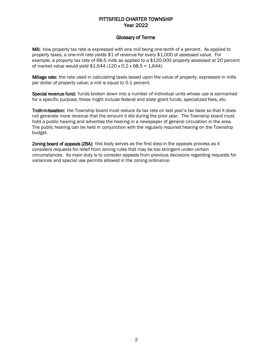# PITTSFIELD CHARTER TOWNSHIP Year 2022

## Glossary of Terms

Mill: how property tax rate is expressed with one mill being one-tenth of a percent. As applied to property taxes, a one-mill rate yields \$1 of revenue for every \$1,000 of assessed value. For example, a property tax rate of 68.5 mills as applied to a \$120,000 property assessed at 20 percent of market value would yield  $$1,644$  (120 x 0.2 x 68.5 = 1,644).

**Millage rate:** the rate used in calculating taxes based upon the value of property, expressed in mills per dollar of property value; a mill is equal to 0.1 percent.

Special revenue fund: funds broken down into a number of individual units whose use is earmarked for a specific purpose; these might include federal and state grant funds, specialized fees, etc.

Truth-in-taxation: the Township board must reduce its tax rate on last year's tax base so that it does not generate more revenue that the amount it did during the prior year. The Township board must hold a public hearing and advertise the hearing in a newspaper of general circulation in the area. The public hearing can be held in conjunction with the regularly required hearing on the Township budget.

Zoning board of appeals (ZBA): this body serves as the first step in the appeals process as it considers requests for relief from zoning rules that may be too stringent under certain circumstances. Its main duty is to consider appeals from previous decisions regarding requests for variances and special use permits allowed in the zoning ordinance.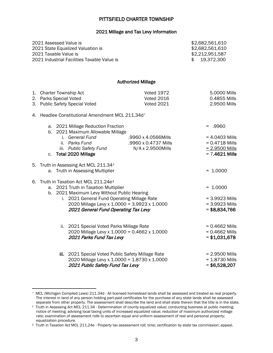# PITTSFIELD CHARTER TOWNSHIP

#### 2021 Millage and Tax Levy Information

|                                                  | 2021 Assessed Value is<br>2021 State Equalized Valuation is<br>2021 Taxable Value is<br>2021 Industrial Facilities Taxable Value is                                                                                                                                                |                                                                  | \$2,682,561,610<br>\$2,682,561,610<br>\$2,212,951,587<br>19,372,300<br>\$             |  |  |  |
|--------------------------------------------------|------------------------------------------------------------------------------------------------------------------------------------------------------------------------------------------------------------------------------------------------------------------------------------|------------------------------------------------------------------|---------------------------------------------------------------------------------------|--|--|--|
|                                                  |                                                                                                                                                                                                                                                                                    | <b>Authorized Millage</b>                                        |                                                                                       |  |  |  |
|                                                  | 1. Charter Township Act<br>2. Parks Special Voted<br>3. Public Safety Special Voted                                                                                                                                                                                                | Voted 1972<br><b>Voted 2016</b><br><b>Voted 2021</b>             | 5.0000 Mills<br>0.4855 Mills<br>2.9500 Mills                                          |  |  |  |
| 4. Headlee Constitutional Amendment MCL 211.34d* |                                                                                                                                                                                                                                                                                    |                                                                  |                                                                                       |  |  |  |
|                                                  | a. 2021 Millage Reduction Fraction<br>b. 2021 Maximum Allowable Millage<br>i. General Fund<br>ii. Parks Fund<br>iii. Public Safety Fund<br><b>Total 2020 Millage</b><br>C.                                                                                                         | .9960 x 4.0566Mills<br>.9960 x 0.4737 Mills<br>N/A x 2.9500Mills | .9960<br>$= 4.0403$ Mills<br>$= 0.4718$ Mills<br>$= 2.9500$ Mills<br>$= 7.4621$ Mills |  |  |  |
|                                                  | 5. Truth in Assessing Act MCL 211.34 <sup>+</sup><br>a. Truth in Assessing Multiplier                                                                                                                                                                                              |                                                                  | $= 1.0000$                                                                            |  |  |  |
|                                                  | 6. Truth in Taxation Act MCL 211.24e <sup>#</sup><br>a. 2021 Truth in Taxation Multiplier<br>2021 Maximum Levy Without Public Hearing<br>b.<br>i. 2021 General Fund Operating Millage Rate<br>2020 Millage Levy x 1.0000 = 3.9923 x 1.0000<br>2021 General Fund Operating Tax Levy |                                                                  | $= 1.0000$<br>$= 3.9923$ Mills<br>$= 3.9923$ Mills<br>$= $8,834,766$                  |  |  |  |
|                                                  | ii. 2021 Special Voted Parks Millage Rate<br>2020 Millage Levy x 1.0000 = 0.4662 x 1.0000<br>2021 Parks Fund Tax Levy                                                                                                                                                              |                                                                  | $= 0.4662$ Mills<br>$= 0.4662$ Mills<br>$= $1,031,678$                                |  |  |  |
|                                                  | iii. 2021 Special Voted Public Safety Millage Rate<br>2020 Millage Levy x 1.0000 = 1.8730 x 1.0000<br>2021 Public Safety Fund Tax Levy                                                                                                                                             |                                                                  | $= 2.9500$ Mills<br>$= 1.8730$ Mills<br>$= $6,528,207$                                |  |  |  |

 $\overline{a}$ 

<span id="page-5-0"></span><sup>\*</sup> MCL (Michigan Compiled Laws) 211.34d - All licensed homestead lands shall be assessed and treated as real property. The interest in land of any person holding part-paid certificates for the purchase of any state lands shall be assessed separate from other property. The assessment shall describe the land and shall state therein that the title is in the state.

<span id="page-5-1"></span><sup>†</sup> Truth in Assessing Act MCL 211.34 - Determination of county equalized value; conducting business at public meeting; notice of meeting; advising local taxing units of increased equalized value; reduction of maximum authorized millage rate; examination of assessment rolls to ascertain equal and uniform assessment of real and personal property; equalization procedure.

<span id="page-5-2"></span><sup>‡</sup> Truth in Taxation Act MCL 211.24e - Property tax assessment roll; time; certification by state tax commission; appeal.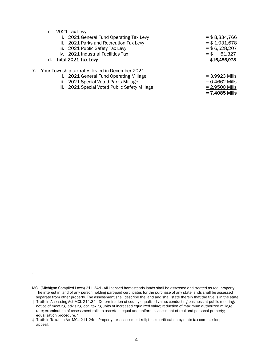c. 2021 Tax Levy

|  |  |  |  | i. 2021 General Fund Operating Tax Levy |  |  |
|--|--|--|--|-----------------------------------------|--|--|
|--|--|--|--|-----------------------------------------|--|--|

- ii. 2021 Parks and Recreation Tax Levy  $= $1,031,678$
- iii.  $2021$  Public Safety Tax Levy  $= $6,528,207$
- iv.  $2021$  Industrial Facilities Tax  $= $$  61,327

### d. Total 2021 Tax Levy  $= $16,455,978$

- 7. Your Township tax rates levied in December 2021
	- i.  $2021$  General Fund Operating Millage  $= 3.9923$  Mills
	- ii.  $2021$  Special Voted Parks Millage  $= 0.4662$  Mills
	- iii.  $2021$  Special Voted Public Safety Millage  $= 2.9500$  Mills

 $= $ 8,834,766$ 

= 7.4085 Mills

<span id="page-6-0"></span>MCL (Michigan Compiled Laws) 211.34d - All licensed homesteads lands shall be assessed and treated as real property. The interest in land of any person holding part-paid certificates for the purchase of any state lands shall be assessed separate from other property. The assessment shall describe the land and shall state therein that the title is in the state.

<sup>†</sup> Truth in Assessing Act MCL 211.34 - Determination of county equalized value; conducting business at public meeting; notice of meeting; advising local taxing units of increased equalized value; reduction of maximum authorized millage rate; examination of assessment rolls to ascertain equal and uniform assessment of real and personal property; equalization procedure. \*

<sup>‡</sup> Truth in Taxation Act MCL 211.24e - Property tax assessment roll; time; certification by state tax commission; appeal.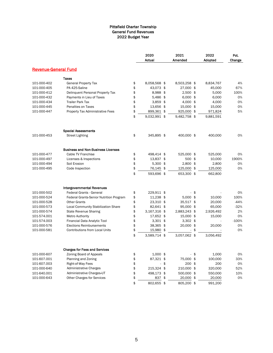#### Pittsfield Charter Township General Fund Revenues 2022 Budget Year

|                             |                                           | 2020<br>Actual     | 2021<br>Amended  |        | 2022<br>Adopted | Pct.<br>Change |
|-----------------------------|-------------------------------------------|--------------------|------------------|--------|-----------------|----------------|
| <b>Revenue-General Fund</b> |                                           |                    |                  |        |                 |                |
|                             | Taxes                                     |                    |                  |        |                 |                |
| 101-000-402                 | <b>General Property Tax</b>               | \$<br>8,058,568 \$ | 8.503.258 \$     |        | 8,834,767       | 4%             |
| 101-000-405                 | PA 425-Saline                             | \$<br>43,073 \$    | 27,000 \$        |        | 45,000          | 67%            |
| 101-000-412                 | Delinquent Personal Property Tax          | \$<br>8,988 \$     | $2,500$ \$       |        | 5,000           | 100%           |
| 101-000-432                 | Payments in Lieu of Taxes                 | \$<br>5,486 \$     | $6,000$ \$       |        | 6,000           | 0%             |
| 101-000-434                 | <b>Trailer Park Tax</b>                   | \$<br>3,859 \$     | 4,000 \$         |        | 4,000           | 0%             |
| 101-000-445                 | Penalties on Taxes                        | \$<br>13,656 \$    | 15,000 \$        |        | 15,000          | 0%             |
| 101-000-447                 | Property Tax Administrative Fees          | \$<br>899,361      | \$<br>925,000 \$ |        | 971,824         | 5%             |
|                             |                                           | \$<br>9.032,991 \$ | 9,482,758 \$     |        | 9,881,591       |                |
|                             | <b>Special Assessments</b>                |                    |                  |        |                 |                |
| 101-000-453                 | <b>Street Lighting</b>                    | \$<br>345,895 \$   | 400,000 \$       |        | 400,000         | 0%             |
|                             | <b>Business and Non-Business Licenses</b> |                    |                  |        |                 |                |
| 101-000-477                 | Cable TV Franchise                        | \$<br>498,414 \$   | 525,000 \$       |        | 525,000         | 0%             |
| 101-000-497                 | Licenses & Inspections                    | \$<br>13,837 \$    | 500 \$           |        | 10,000          | 1900%          |
| 101-000-494                 | Soil Erosion                              | \$<br>$5,300$ \$   | 2,800 \$         |        | 2,800           | 0%             |
| 101-000-495                 | Code Inspection                           | \$<br>76,145       | \$<br>125,000 \$ |        | 125,000         | 0%             |
|                             |                                           | \$<br>593,696 \$   | 653,300 \$       |        | 662,800         |                |
|                             | <b>Intergovernmental Revenues</b>         |                    |                  |        |                 |                |
| 101-000-502                 | <b>Federal Grants - General</b>           | \$<br>229,911 \$   |                  | \$     |                 | 0%             |
| 101-000-524                 | Federal Grants-Senior Nutrition Program   | \$<br>11,238 \$    | $5,000$ \$       |        | 10,000          | 100%           |
| 101-000-528                 | <b>Other Grants</b>                       | \$<br>23,310 \$    | 35,517 \$        |        | 20,000          | $-44%$         |
| 101-000-573                 | Local Community Stabilization Share       | \$<br>82,641 \$    | 95,000 \$        |        | 65,000          | $-32%$         |
| 101-000-574                 | <b>State Revenue Sharing</b>              | \$<br>3,167,316 \$ | 2,883,243 \$     |        | 2,926,492       | 2%             |
| 101-574.001                 | Metro Authority                           | \$<br>17,652 \$    | 15,000 \$        |        | 15,000          | 0%             |
| 101-574.003                 | Financial Data Analytic Tool              | \$<br>$3,301$ \$   | $3,302$ \$       |        |                 | $-100%$        |
| 101-000-576                 | <b>Elections Reimbursements</b>           | \$<br>38,365 \$    | 20,000 \$        |        | 20,000          | 0%             |
| 101-000-581                 | Contributions from Local Units            | \$<br>15,980       | \$               | \$     |                 | 0%             |
|                             |                                           | \$<br>3,589,714 \$ | 3,057,062 \$     |        | 3,056,492       |                |
|                             | <b>Charges for Fees and Services</b>      |                    |                  |        |                 |                |
| 101-000-607                 | Zoning Board of Appeals                   | \$<br>$1,000$ \$   |                  | $-$ \$ | 1,000           | 0%             |
| 101-607.001                 | Planning and Zoning                       | \$<br>87,321 \$    | 75,000 \$        |        | 100,000         | 33%            |
| 101-607.003                 | Right-of-Way Fees                         | \$<br>÷,           | \$<br>200 \$     |        | 200             | 0%             |
| 101-000-640                 | <b>Administrative Charges</b>             | \$<br>215,324 \$   | 210,000 \$       |        | 320,000         | 52%            |
| 101-640.001                 | Administrative Charges-UT                 | \$<br>498,173 \$   | 500,000 \$       |        | 550,000         | 10%            |
| 101-000-643                 | <b>Other Charges for Services</b>         | \$<br>837          | \$<br>20,000 \$  |        | 20,000          | 0%             |
|                             |                                           | \$<br>802,655 \$   | 805,200 \$       |        | 991,200         |                |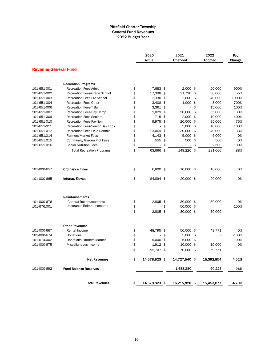#### Pittsfield Charter Township General Fund Revenues 2022 Budget Year

|                             |                                      | 2020<br>Actual      | 2021<br>Amended      | 2022<br>Adopted | Pct.<br>Change |
|-----------------------------|--------------------------------------|---------------------|----------------------|-----------------|----------------|
| <b>Revenue-General Fund</b> |                                      |                     |                      |                 |                |
|                             | <b>Recreation Programs</b>           |                     |                      |                 |                |
| 101-651-001                 | <b>Recreation Fees-Adult</b>         | \$<br>7,683 \$      | $2,000$ \$           | 20,000          | 900%           |
| 101-651-002                 | <b>Recreation Fees-Grade School</b>  | \$<br>17,398 \$     | 31,720 \$            | 30,000          | $-5%$          |
| 101-651-003                 | Recreation Fees-Pre School           | \$<br>2,330 \$      | $2,000$ \$           | 40,000          | 1900%          |
| 101-651-004                 | <b>Recreation Fees-Other</b>         | \$<br>$3,408$ \$    | $1,000$ \$           | 8,000           | 700%           |
| 101-651-006                 | <b>Recreation Fees-T Ball</b>        | \$<br>$3.361$ \$    | $\omega$             | \$<br>15,000    | 100%           |
| 101-651-007                 | Recreation Fees-Day Camp             | \$<br>1,029         | \$<br>50,000 \$      | 65,000          | 30%            |
| 101-651-009                 | <b>Recreation Fees-Seniors</b>       | \$<br>715 \$        | $2,000$ \$           | 10,000          | 400%           |
| 101-651-010                 | <b>Recreation Fees-Pavilion</b>      | \$<br>9,975         | \$<br>20,000 \$      | 35,000          | 75%            |
| 101-651-011                 | Recreation Fees-Senior Day Trips     | \$<br>ä,            | \$<br>$5,000$ \$     | 10,000          | 100%           |
| 101-651-012                 | <b>Recreation Fees-Field Rentals</b> | \$<br>13,069        | \$<br>30,000 \$      | 40,000          | 33%            |
| 101-651.014                 | <b>Farmers Market Fees</b>           | \$<br>$4,143$ \$    | $5,000$ \$           | 5,000           | 0%             |
| 101-651.015                 | <b>Community Garden Plot Fees</b>    | \$<br>555           | \$<br>500 \$         | 500             | 0%             |
| 101-651.016                 | <b>Senior Nutrition Fees</b>         | \$<br>$\frac{1}{2}$ | \$<br>$\blacksquare$ | \$<br>2,500     | 100%           |
|                             | <b>Total Recreation Programs</b>     | \$<br>63,666 \$     | 149,220 \$           | 281,000         | 88%            |
|                             |                                      |                     |                      |                 |                |
| 101-000-657                 | <b>Ordinance Fines</b>               | \$<br>6,800 \$      | 10,000 \$            | 10,000          | 0%             |
| 101-000-665                 | <b>Interest Earned</b>               | \$<br>84,894 \$     | 20,000 \$            | 20,000          | 0%             |
|                             | Reimbursements                       |                     |                      |                 |                |
| 101-000-676                 | <b>General Reimbursements</b>        | \$<br>2,805 \$      | 30,000 \$            | 30,000          | 0%             |
| 101-676.001                 | Insurance Reimbursements             | \$                  | \$<br>50,000 \$      |                 | $-100%$        |
|                             |                                      | \$<br>2,805 \$      | 80,000 \$            | 30,000          |                |
|                             | <b>Other Revenues</b>                |                     |                      |                 |                |
| 101-000-667                 | Rental Income                        | \$<br>48,795 \$     | 50,000 \$            | 49,771          | 0%             |
| 101-000-674                 | Donations                            | \$                  | \$<br>$5,000$ \$     |                 | $-100%$        |
| 101-674.002                 | <b>Donations-Farmers Market</b>      | \$<br>5,000         | \$<br>$5,000$ \$     |                 | $-100%$        |
| 101-000-675                 | Miscellaneous Income                 | \$<br>1,912         | \$<br>10,000 \$      | 10,000          | 0%             |
|                             |                                      | \$<br>55,707 \$     | 70.000 \$            | 59,771          |                |
|                             | <b>Net Revenues</b>                  | \$<br>14,578,823 \$ | $14,727,540$ \$      | 15,392,854      | 4.52%          |
| 101-000-692                 | <b>Fund Balance Reserves</b>         |                     | 1,488,280            | 60,223          | -96%           |
|                             | <b>Total Revenues</b>                | \$<br>14,578,823 \$ | 16,215,820 \$        | 15,453,077      | -4.70%         |
|                             |                                      |                     |                      |                 |                |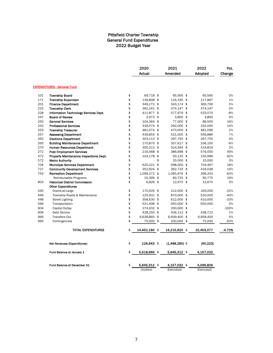#### Pittsfield Charter Township General Fund Expenditures 2022 Budget Year

|            |                                                                |          | 2020              | 2021                   | 2022              | Pct.      |
|------------|----------------------------------------------------------------|----------|-------------------|------------------------|-------------------|-----------|
|            |                                                                |          | Actual            | Amended                | Adopted           | Change    |
|            | <b>EXPENDITURES - General Fund</b>                             |          |                   |                        |                   |           |
| 101        | <b>Township Board</b>                                          | \$       | 69,718 \$         | 65,565 \$              | 65,565            | 0%        |
| 171        | <b>Township Supervisor</b>                                     | \$       | 139,808 \$        | 116,195 \$             | 117,867           | 1%        |
| 201        | <b>Finance Department</b>                                      | \$       | 349,272 \$        | 343,174 \$             | 360,706           | 5%        |
| 215        | <b>Township Clerk</b>                                          | \$       | 362,161 \$        | 374,147 \$             | 374,147           | 0%        |
| 228        | Information Technology Services Dept.                          | \$       | 411,877 \$        | 577,979 \$             | 533,575           | $-8%$     |
| 247        | <b>Board of Review</b>                                         | \$       | 2,973 \$          | $3,800$ \$             | 3,800             | 0%        |
| 250        | <b>General Services</b>                                        | \$       | 104,364 \$        | 77,000 \$              | 89,500            | 16%       |
| 252        | <b>Professional Services</b>                                   | \$       | 318,574 \$        | 292,000 \$             | 332,000           | 14%       |
| 253        | <b>Township Treasurer</b>                                      | \$       | 481,074 \$        | 470,000 \$             | 481,096           | 2%        |
| 257        | <b>Assessing Department</b>                                    | \$       | 439,854 \$        | 521,055 \$             | 556,886           | 7%        |
| 262        | <b>Elections Department</b>                                    | \$       | 303,113 \$        | 297,755 \$             | 297,755           | 0%        |
| 265        | <b>Building Maintenance Department</b>                         | \$       | 170,870 \$        | 357,617 \$             | 336,100           | $-6%$     |
| 270        | <b>Human Resources Department</b>                              | \$       | 300,213 \$        | 314,594 \$             | 319,819           | 2%        |
| 272        | <b>Post Employment Services</b>                                | \$<br>\$ | 216,468 \$        | 386,698 \$             | 576,000           | 49%       |
| 372<br>572 | Property Maintenance Inspections Dept.                         | \$       | 104,178 \$<br>-\$ | 93,125 \$<br>15,000 \$ | 150,996<br>15,000 | 62%<br>0% |
| 704        | <b>Metro Authority</b><br><b>Municipal Services Department</b> | \$       | 620,221 \$        | 598,500 \$             | 704,467           | 18%       |
| 727        | <b>Community Development Services</b>                          | \$       | 352,924 \$        | 362,733 \$             | 416,038           | 15%       |
| 753        | <b>Recreation Department</b>                                   | \$       | 1,099,272 \$      | 1,065,976 \$           | 396,203           | $-63%$    |
|            | Reimbursable Programs                                          | \$       | 15,399 \$         | 80,725 \$              | 95,775            | 19%       |
| 803        | <b>Historical District Commission</b>                          | \$       | 6,826 \$          | 12,670 \$              | 12,670            | 0%        |
|            | <b>Other Expenditures</b>                                      |          |                   |                        |                   |           |
| 445        | Drains-at-Large                                                | \$       | 170,005 \$        | 212,000 \$             | 165,000           | $-22%$    |
| 446        | Township Roads & Maintenance                                   | \$       | 125,931 \$        | 870,000 \$             | 520,000           | $-40%$    |
| 448        | <b>Street Lighting</b>                                         | \$       | 358,630 \$        | 612,000 \$             | 410,000           | $-33%$    |
| 596        | Transportation                                                 | \$       | 521,408 \$        | 650,000 \$             | 650,000           | 0%        |
| 904        | Capital Outlay                                                 | \$       | 274,932 \$        | 200,000 \$             |                   | $-100%$   |
| 906        | Debt Service                                                   | \$       | 428,250 \$        | 436,112 \$             | 438,712           | 1%        |
| 966        | <b>Transfers Out</b>                                           | \$       | 6,628,865 \$      | 6,609,400 \$           | 6,958,400         | 5%        |
| 990        | Contingencies                                                  | \$       | 75,000<br>\$      | 200,000 \$             | 75,000            | $-63%$    |
|            | <b>TOTAL EXPENDITURES</b>                                      | \$       | 14,452,180 \$     | 16,215,820 \$          | 15,453,077        | -4.70%    |
|            | Net Revenues (Expenditures)                                    | \$       | $126,643$ \$      | (1,488,280) \$         | (60, 223)         |           |
|            | Fund Balance at January 1                                      | \$       | 5,518,669 \$      | 5,645,312 \$           | 4,157,032         |           |
|            | Fund Balance at December 31                                    | \$       | 5,645,312 \$      | 4,157,032 \$           | 4,096,809         |           |
|            |                                                                |          | (Audited)         | (Estimated)            | (Estimated)       |           |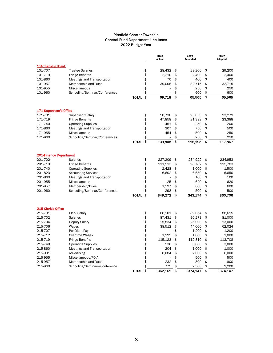|                                          |                                            |              |          | 2020<br>Actual |          | 2021<br>Amended  |          | 2022<br>Adopted  |
|------------------------------------------|--------------------------------------------|--------------|----------|----------------|----------|------------------|----------|------------------|
| 101-Township Board                       |                                            |              |          |                |          |                  |          |                  |
| 101-707                                  | <b>Trustee Salaries</b>                    |              | \$       | 28,432         | \$       | 29,200           | \$       | 29,200           |
| 101-719                                  | <b>Fringe Benefits</b>                     |              | \$       | 2,210          | \$       | 2,400            | \$       | 2,400            |
| 101-860                                  | Meetings and Transportation                |              | \$       | 70             | \$       | 400              | \$       | 400              |
| 101-957                                  | Membership and Dues                        |              | \$       | 39,006         | \$       | 32,715           | \$       | 32,715           |
| 101-955                                  | <b>Miscellaneous</b>                       |              | \$       |                | \$       | 250              | \$       | 250              |
| 101-960                                  | Schooling/Seminar/Conferences              |              | \$       |                | \$       | 600              | \$       | 600              |
|                                          |                                            | <b>TOTAL</b> | \$       | 69,718         | \$       | 65,565           | \$       | 65,565           |
| <b>171-Supervisor's Office</b>           |                                            |              |          |                |          |                  |          |                  |
| 171-701                                  | <b>Supervisor Salary</b>                   |              | \$       | 90,738         | \$       | 93,053           | \$       | 93,279           |
| 171-719                                  | <b>Fringe Benefits</b>                     |              | \$       | 47,858         | \$       | 21,392           | \$       | 23,388           |
| 171-740                                  | <b>Operating Supplies</b>                  |              | \$       | 451            | \$       | 250              | \$       | 200              |
| 171-860                                  | Meetings and Transportation                |              | \$       | 307            | \$       | 750              | \$       | 500              |
| 171-955                                  | Miscellaneous                              |              | \$       | 454            | \$       | 500              | \$       | 250              |
| 171-960                                  | Schooling/Seminar/Conferences              |              | \$       |                | \$       | 250              | \$       | 250              |
|                                          |                                            | <b>TOTAL</b> | \$       | 139,808        | \$       | 116,195          | \$       | 117,867          |
|                                          |                                            |              |          |                |          |                  |          |                  |
| <b>201-Finance Department</b><br>201-702 | Salaries                                   |              | \$       | 227,209        | \$       | 234,922          | \$       | 234,953          |
| 201-719                                  | <b>Fringe Benefits</b>                     |              | \$       | 111,513        | \$       | 98,782           | \$       | 115,783          |
| 201-740                                  | <b>Operating Supplies</b>                  |              | \$       | 2,428          | \$       | 1,000            | \$       | 1,500            |
| 201-823                                  | <b>Accounting Services</b>                 |              | \$       | 6.602          | \$       | 6,650            | \$       | 6,650            |
| 201-860                                  | Meetings and Transportation                |              | \$       | ä,             | \$       | 100              | \$       | 100              |
| 201-955                                  | <b>Miscellaneous</b>                       |              | \$       | 25             | \$       | 620              | \$       | 620              |
| 201-957                                  | Membership/Dues                            |              | \$       | 1,197          | \$       | 600              | \$       | 600              |
| 201-960                                  | Schooling/Seminar/Conferences              |              | \$       | 298            | \$       | 500              | \$       | 500              |
|                                          |                                            | <b>TOTAL</b> | \$       | 349,272        | \$       | 343.174          | \$       | 360,706          |
|                                          |                                            |              |          |                |          |                  |          |                  |
| 215-Clerk's Office                       |                                            |              |          |                |          |                  |          |                  |
| 215-701                                  | <b>Clerk Salary</b>                        |              | \$       | 86,201         | \$       | 89,064           | \$       | 88,615           |
| 215-702                                  | <b>Salaries</b>                            |              | \$       | 87,431         | \$       | 90,273           | \$       | 81,000           |
| 215-704                                  | Deputy Salary                              |              | \$       | 25,834         | \$       | 26,000           | \$       | 13,000           |
| 215-706                                  | Wages                                      |              | \$       | 38,512         | \$       | 44,000           | \$       | 62,024           |
| 215-707                                  | Per Diem Pay                               |              | \$       |                | \$       | 1,200            | \$<br>\$ | 1.200            |
| 215-712                                  | Overtime Wages                             |              | \$       | 1,229          | \$       | 1,000            |          | 1,000            |
| 215-719                                  | <b>Fringe Benefits</b>                     |              | \$<br>\$ | 115,123<br>536 | \$<br>\$ | 112,810<br>3,000 | \$<br>\$ | 113,708<br>3,000 |
| 215-740<br>215-860                       | <b>Operating Supplies</b>                  |              | \$       | 204            | \$       |                  | \$       | 1,000            |
| 215-901                                  | Meetings and Transportation<br>Advertising |              | \$       | 6,084          | \$       | 1,000<br>2,000   | \$       | 6,000            |
| 215-955                                  | Miscellaneous/FOIA                         |              | \$       |                | \$       | 500              | \$       | 500              |
| 215-957                                  | Membership and Dues                        |              | \$       | 232            | \$       | 800              | \$       | 900              |
| 215-960                                  | Schooling/Seminars/Conference              |              | \$       | 775            | \$       | 2,500            | \$       | 2.200            |
|                                          |                                            | <b>TOTAL</b> | \$       | 362,161        | \$       | 374,147          | \$       | 374,147          |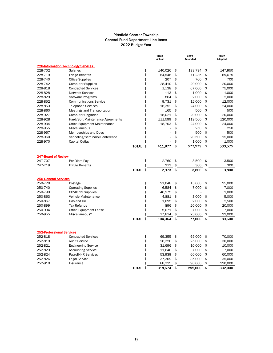|                                       |                                            |              |          | 2020<br>Actual |          | 2021<br>Amended |          | 2022<br>Adopted |
|---------------------------------------|--------------------------------------------|--------------|----------|----------------|----------|-----------------|----------|-----------------|
|                                       | <b>228-Information Technology Services</b> |              |          |                |          |                 |          |                 |
| 228-702                               | <b>Salaries</b>                            |              | \$       | 140,026        | \$       | 193,794         | \$       | 147,950         |
| 228-719                               | <b>Fringe Benefits</b>                     |              | \$       | 64,548         | \$       | 71,235          | \$       | 69,675          |
| 228-740                               | <b>Office Supplies</b>                     |              | \$       | 207            | \$       | 700             | \$       | 700             |
| 228-742                               | <b>Computer Supplies</b>                   |              | \$       | 28,410         | \$       | 20,000          | \$       | 20,000          |
| 228-818                               | <b>Contracted Services</b>                 |              | \$       | 1,138          | \$       | 67,000          | \$       | 75,000          |
| 228-828                               | <b>Network Services</b>                    |              | \$       | 113            | \$       | 1,000           | \$       | 1,000           |
| 228-829                               | Software Programs                          |              | \$       | 864            | \$       | 2,000           | \$       | 2,000           |
| 228-852                               | <b>Communications Service</b>              |              | \$       | 9,731          | \$       | 12,000          | \$       | 12,000          |
| 228-853                               | <b>Telephone Services</b>                  |              | \$       | 18,352         | \$       | 24,000          | \$       | 24,000          |
| 228-860                               | Meetings and Transportation                |              | \$       | 165            | \$       | 500             | \$       | 500             |
| 228-927                               | <b>Computer Upgrades</b>                   |              | \$       | 18,021         | \$       | 20,000          | \$       | 20,000          |
| 228-928                               | Hard/Soft Maintenance Agreements           |              | \$       | 111,599        | \$       | 119,500         | \$       | 120,000         |
| 228-934                               | Office Equipment Maintenance               |              | \$       | 18,703         | \$       | 24,000          | \$       | 24,000          |
| 228-955                               | <b>Miscellaneous</b>                       |              | \$       |                | \$       | 250             | \$       | 250             |
| 228-957                               | Memberships and Dues                       |              | \$       |                | \$       | 500             | \$       | 500             |
| 228-960                               | Schooling/Seminars/Conference              |              | \$       |                | \$       | 20,500          | \$       | 15,000          |
| 228-970                               | Capital Outlay                             |              | \$       |                | \$       | 1,000           | \$       | 1,000           |
|                                       |                                            | <b>TOTAL</b> | \$       | 411,877        | \$       | 577,979         | \$       | 533,575         |
|                                       |                                            |              |          |                |          |                 |          |                 |
| <b>247-Board of Review</b><br>247-707 |                                            |              |          | 2.760          |          |                 |          |                 |
|                                       | Per Diem Pay                               |              | \$<br>\$ |                | \$<br>\$ | 3,500           | \$<br>\$ | 3,500           |
| 247-719                               | <b>Fringe Benefits</b>                     |              |          | 213            |          | 300             |          | 300             |
|                                       |                                            | <b>TOTAL</b> | \$       | 2.973          | \$       | 3,800           | \$       | 3.800           |
| <b>250-General Services</b>           |                                            |              |          |                |          |                 |          |                 |
| 250-728                               | Postage                                    |              | \$       | 21,048         | \$       | 15,000          | \$       | 25,000          |
| 250-740                               | <b>Operating Supplies</b>                  |              | \$       | 6,584          | \$       | 7,000           | \$       | 7,000           |
| 250-799                               | COVID 19 Supplies                          |              | \$       | 46,975         | \$       |                 |          | 1,000           |
| 250-863                               | Vehicle Maintenance                        |              | \$       | 4,881          | \$       | 3,000           | \$       | 5,000           |
| 250-867                               | Gas and Oil                                |              | \$       | 1,095          | \$       | 2,000           | \$       | 2,500           |
| 250-899                               | <b>Tax Refunds</b>                         |              | \$       | 896            | \$       | 20,000          | \$       | 20,000          |
| 250-934                               | <b>Office Equipment Lease</b>              |              | \$       | 5,071          | \$       | 7,000           | \$       | 7,000           |
| 250-955                               | Miscellaneous*                             |              | \$       | 17,814         | \$       | 23,000          | \$       | 22,000          |
|                                       |                                            | <b>TOTAL</b> | \$       | 104,364 \$     |          | 77,000          | \$       | 89,500          |
|                                       |                                            |              |          |                |          |                 |          |                 |
| <b>252-Professional Services</b>      |                                            |              |          |                |          |                 |          |                 |
| 252-818                               | <b>Contracted Services</b>                 |              | \$       | 69,355         | \$       | 65,000          | \$       | 70,000          |
| 252-819                               | <b>Audit Service</b>                       |              | \$       | 26,320         | \$       | 25,000          | \$       | 30,000          |
| 252-821                               | <b>Engineering Service</b>                 |              | \$       | 31,696         | \$       | 10,000          | \$       | 10,000          |
| 252-823                               | <b>Accounting Service</b>                  |              | \$       | 11,640         | \$       | 7,000           | \$       | 7,000           |
| 252-824                               | Payroll/HR Services                        |              | \$       | 53,939         | \$       | 60,000          | \$       | 60,000          |
| 252-826                               | Legal Service                              |              | \$       | 37,309         | \$       | 35,000          | \$       | 35,000          |
| 252-910                               | Insurance                                  |              | \$       | 88,315         | \$       | 90,000          | \$       | 120,000         |
|                                       |                                            | <b>TOTAL</b> | \$       | 318,574        | \$       | 292,000         | \$       | 332,000         |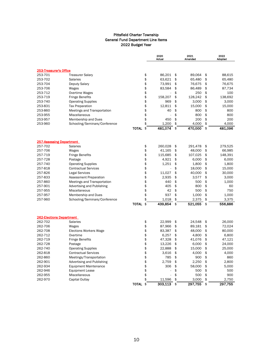|                                 |                                   |              |          | 2020<br>2021<br>Actual<br>Amended |          |                  | 2022<br>Adopted |                  |
|---------------------------------|-----------------------------------|--------------|----------|-----------------------------------|----------|------------------|-----------------|------------------|
|                                 |                                   |              |          |                                   |          |                  |                 |                  |
| 253-Treasurer's Office          |                                   |              |          |                                   |          |                  |                 |                  |
| 253-701                         | <b>Treasurer Salary</b>           |              | \$       | 86,201                            | \$       | 89,064           | \$              | 88,615           |
| 253-702                         | <b>Salaries</b>                   |              | \$       | 63,621                            | \$       | 65,480           | \$              | 65,480           |
| 253-704                         | Deputy Salary                     |              | \$       | 73,991                            | \$       | 76,675           | \$              | 76,675           |
| 253-706                         | Wages                             |              | \$       | 83,584                            | \$       | 86,489           | \$              | 87,734           |
| 253-712                         | Overtime Wages                    |              | \$       |                                   | \$       | 250              | \$              | 100              |
| 253-719                         | <b>Fringe Benefits</b>            |              | \$       | 158,207                           | \$       | 128,242          | \$              | 138,692          |
| 253-740                         | <b>Operating Supplies</b>         |              | \$       | 969                               | \$       | 3,000            | \$              | 3,000            |
| 253-831                         | <b>Tax Preparation</b>            |              | \$       | 12,811                            | \$       | 15,000           | \$              | 15,000           |
| 253-860                         | Meetings and Transportation       |              | \$       | 40                                | \$       | 800              | \$              | 800              |
| 253-955                         | <b>Miscellaneous</b>              |              | \$       |                                   | \$       | 800              | \$              | 800              |
| 253-957                         | Membership and Dues               |              | \$       | 450                               | \$       | 200              | \$              | 200              |
| 253-960                         | Schooling/Seminars/Conference     |              | \$       | 1,200                             | \$       | 4,000            | \$              | 4,000            |
|                                 |                                   | <b>TOTAL</b> | \$       | 481,074                           | \$       | 470,000          | \$              | 481,096          |
|                                 |                                   |              |          |                                   |          |                  |                 |                  |
| <b>257-Assessing Department</b> |                                   |              |          |                                   |          |                  |                 |                  |
| 257-702                         | <b>Salaries</b>                   |              | \$       | 260,028                           | \$       | 291,478          | \$              | 279,525          |
| 257-706                         | Wages                             |              | \$       | 41,165                            | \$       | 48.000           | \$              | 66,985           |
| 257-719                         | <b>Fringe Benefits</b>            |              | \$       | 115,685                           | \$       | 107,025          | \$              | 148,391          |
| 257-728                         | Postage                           |              | \$       | 4,921                             | \$       | 6,000            | \$              | 6,000            |
| 257-740                         | <b>Operating Supplies</b>         |              | \$       | 1,251                             | \$       | 1.800            | \$              | 1.800            |
| 257-818                         | <b>Contractual Services</b>       |              | \$       | ÷,                                | \$       | 18,000           | \$              | 15,000           |
| 257-826                         | Legal Services                    |              | \$       | 11,027                            | \$       | 40,000           | \$              | 30,000           |
| 257-833                         | Assessment Preparation            |              | \$       | 2,935                             | \$       | 3,577            | \$              | 3,000            |
| 257-860                         | Meetings and Transportation       |              | \$       | 440                               | \$       | 500              | \$              | 1.000            |
| 257-901                         | <b>Advertising and Publishing</b> |              | \$       | 405                               | \$       | 800              | \$              | 60               |
| 257-955                         | <b>Miscellaneous</b>              |              | \$       | 42                                | \$       | 500              | \$              | 750              |
| 257-957                         | Membership and Dues               |              | \$       | 937                               | \$       | 1.000            | \$              | 1.000            |
| 257-960                         | Schooling/Seminars/Conference     |              | \$       | 1,018                             | \$       | 2,375            | \$              | 3,375            |
|                                 |                                   | <b>TOTAL</b> | \$       | 439,854                           | \$       | 521,055          | \$              | 556,886          |
| <b>262-Elections Department</b> |                                   |              |          |                                   |          |                  |                 |                  |
| 262-702                         | <b>Salaries</b>                   |              | \$       | 22,999                            | \$       | 24,548           | \$              | 26,000           |
| 262-706                         | Wages                             |              | \$       | 87,966                            | \$       | 89,181           | \$              | 72,024           |
| 262-708                         | <b>Elections Workers Wage</b>     |              | \$       | 83.387                            | \$       | 48.000           | \$              | 80,000           |
| 262-712                         | Overtime                          |              | \$       | 6,257                             | \$       | 4,800            | \$              | 6,800            |
|                                 |                                   |              | \$       |                                   |          |                  | \$              |                  |
| 262-719<br>262-728              | <b>Fringe Benefits</b>            |              |          | 47,328                            | \$<br>\$ | 41,076           | \$              | 47,121           |
| 262-740                         | Postage                           |              | \$<br>\$ | 13,226                            |          | 6,000            |                 | 24,000           |
|                                 | <b>Operating Supplies</b>         |              |          | 22,888                            | \$       | 15,000           | \$              | 25,000           |
| 262-818                         | <b>Contractual Services</b>       |              | \$       | 3,616                             | \$       | 4,000            | \$              | 4,000            |
| 262-860                         | Meetings/Transportation           |              | \$       | 785                               | \$       | 900              | \$              | 860              |
| 262-901                         | <b>Advertising and Publishing</b> |              | \$       | 2,759                             | \$       | 2,250            | \$              | 2,800            |
| 262-934                         | <b>Equipment Maintenance</b>      |              | \$       | 306                               | \$       | 58,000           | \$              | 5,000            |
| 262-946                         | <b>Equipment Lease</b>            |              | \$       |                                   | \$       | 500              | \$              | 500              |
| 262-955                         | Miscellaneous                     |              | \$       |                                   | \$       | 500              | \$              | 900              |
| 262-970                         | Capital Outlay                    | <b>TOTAL</b> | \$<br>\$ | 11,596<br>303,113                 | \$<br>\$ | 3,000<br>297,755 | \$<br>\$        | 2,750<br>297,755 |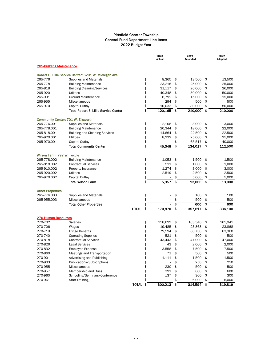|                                 |                                                        |              | 2020<br>Actual       | 2021<br>Amended | 2022<br>Adopted |
|---------------------------------|--------------------------------------------------------|--------------|----------------------|-----------------|-----------------|
| <b>265-Building Maintenance</b> |                                                        |              |                      |                 |                 |
|                                 | Robert E. Lillie Service Center; 6201 W. Michigan Ave. |              |                      |                 |                 |
| 265-776                         | <b>Supplies and Materials</b>                          |              | \$<br>8,365          | \$<br>13,500    | \$<br>13,500    |
| 265-778                         | <b>Building Maintenance</b>                            |              | \$<br>23,216         | \$<br>25,000    | \$<br>25,000    |
| 265-818                         | <b>Building Cleaning Services</b>                      |              | \$<br>31,117         | \$<br>26,000    | \$<br>26,000    |
| 265-920                         | <b>Utilities</b>                                       |              | \$<br>40,348         | \$<br>50,000    | \$<br>50,000    |
| 265-931                         | <b>Ground Maintenance</b>                              |              | \$<br>6,792          | \$<br>15,000    | \$<br>15,000    |
| 265-955                         | Miscellaneous                                          |              | \$<br>294            | \$<br>500       | \$<br>500       |
| 265-970                         | Capital Outlay                                         |              | \$<br>10,033         | \$<br>80,000    | \$<br>80,000    |
|                                 | <b>Total Robert E. Lillie Service Center</b>           |              | \$<br>120,165        | \$<br>210,000   | \$<br>210,000   |
|                                 | Community Center; 701 W. Ellsworth                     |              |                      |                 |                 |
| 265-776.001                     | <b>Supplies and Materials</b>                          |              | \$<br>2,108          | \$<br>3,000     | \$<br>3,000     |
| 265-778.001                     | <b>Building Maintenance</b>                            |              | \$<br>20,344         | \$<br>18,000    | \$<br>22,000    |
| 265-818.001                     | <b>Building and Cleaning Services</b>                  |              | \$<br>14,664         | \$<br>22,500    | \$<br>22,500    |
| 265-920.001                     | <b>Utilities</b>                                       |              | \$<br>8,232          | \$<br>25,000    | \$<br>25,000    |
| 265-970.001                     | Capital Outlay                                         |              | \$                   | \$<br>65,517    | \$<br>40,000    |
|                                 | <b>Total Community Center</b>                          |              | \$<br>45,348         | \$<br>134,017   | \$<br>112,500   |
| Wilson Farm; 797 W. Textile     |                                                        |              |                      |                 |                 |
| 265-778.002                     | <b>Building Maintenance</b>                            |              | \$<br>1,053          | \$<br>1,500     | \$<br>1,500     |
| 265-818.002                     | <b>Contractual Services</b>                            |              | \$<br>511            | \$<br>1,000     | \$<br>1,000     |
| 265-910.002                     | Property Insurance                                     |              | \$<br>1.274          | \$<br>3.000     | \$<br>3.000     |
| 265-920.002                     | <b>Utilities</b>                                       |              | \$<br>2,519          | \$<br>2,500     | \$<br>2,500     |
| 265-970.002                     | Capital Outlay                                         |              | \$                   | \$<br>5,000     | \$<br>5,000     |
|                                 | <b>Total Wilson Farm</b>                               |              | \$<br>5,357          | \$<br>13,000    | \$<br>13.000    |
| <b>Other Properties</b>         |                                                        |              |                      |                 |                 |
| 265-776.003                     | <b>Supplies and Materials</b>                          |              | \$                   | \$<br>100       | \$<br>100       |
| 265-955.003                     | Miscellaneous                                          |              | \$                   | \$<br>500       | \$<br>500       |
|                                 | <b>Total Other Properties</b>                          |              | \$<br>$\overline{a}$ | \$<br>600       | \$<br>600       |
|                                 |                                                        | <b>TOTAL</b> | \$<br>170,870        | \$<br>357,617   | \$<br>336,100   |
| <b>270-Human Resources</b>      |                                                        |              |                      |                 |                 |
| 270-702                         | <b>Salaries</b>                                        |              | \$<br>158,629        | \$<br>163,346   | \$<br>165,941   |
| 270-706                         | Wages                                                  |              | \$<br>19,485         | \$<br>23,868    | \$<br>23,868    |
| 270-719                         | <b>Fringe Benefits</b>                                 |              | \$<br>72,594         | \$<br>60,730    | \$<br>63,360    |
| 270-740                         | <b>Operating Supplies</b>                              |              | \$<br>521            | \$<br>500       | \$<br>500       |
| 270-818                         | <b>Contractual Services</b>                            |              | \$<br>43,443         | \$<br>47,000    | \$<br>47,000    |
| 270-826                         | <b>Legal Services</b>                                  |              | \$<br>43             | \$<br>2,000     | \$<br>2,000     |
| 270-832                         | <b>Employee Expense</b>                                |              | \$<br>3,558          | \$<br>7,500     | \$<br>7,500     |
| 270-860                         | Meetings and Transportation                            |              | \$<br>71             | \$<br>500       | \$<br>500       |
| 270-901                         | Advertising and Publishing                             |              | \$<br>1,111          | \$<br>1,500     | \$<br>1,500     |
| 270-903                         | Publications/Subscriptions                             |              | \$                   | \$<br>250       | \$<br>250       |
| 270-955                         | Miscellaneous                                          |              | \$<br>230            | \$<br>500       | \$<br>500       |
| 270-957                         | Membership and Dues                                    |              | \$<br>391            | \$<br>600       | \$<br>600       |
| 270-960                         | Schooling/Seminars/Conference                          |              | \$<br>137            | \$<br>300       | \$<br>300       |
| 270-961                         | <b>Staff Training</b>                                  |              | \$                   | \$<br>6,000     | \$<br>6.000     |
|                                 |                                                        | <b>TOTAL</b> | \$<br>300,213        | \$<br>314,594   | \$<br>319,819   |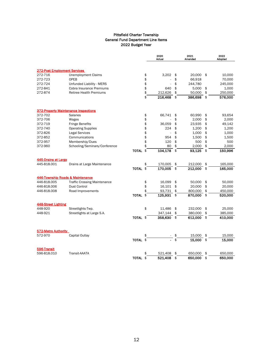|                              |                                             |              | 2020<br>Actual |    | 2021<br>Amended |     | 2022<br>Adopted |
|------------------------------|---------------------------------------------|--------------|----------------|----|-----------------|-----|-----------------|
| 272-Post Employment Services |                                             |              |                |    |                 |     |                 |
| 272-716                      | <b>Unemployment Claims</b>                  |              | \$<br>3,202    | \$ | 20,000          | -\$ | 10,000          |
| 272-723                      | <b>OPEB</b>                                 |              | \$             | \$ | 66,918          |     | 70,000          |
| 272-724                      | Unfunded Liability - MERS                   |              | \$             | \$ | 244,780         |     | 245,000         |
| 272-841                      | Cobra Insurance Premiums                    |              | \$<br>640      | \$ | 5,000           | \$  | 1,000           |
| 272-874                      | <b>Retiree Health Premiums</b>              |              | \$<br>212,626  | \$ | 50,000          | \$  | 250,000         |
|                              |                                             |              | \$<br>216,468  | \$ | 386,698         | \$  | 576,000         |
|                              | <b>372-Property Maintenance Inspections</b> |              |                |    |                 |     |                 |
| 372-702                      | <b>Salaries</b>                             |              | \$<br>66,741   | \$ | 60,990          | \$  | 93,654          |
| 372-706                      | Wages                                       |              | \$             | \$ | 2,000           | \$  | 2,000           |
| 372-719                      | <b>Fringe Benefits</b>                      |              | \$<br>36,059   | \$ | 23,935          | \$  | 49,142          |
| 372-740                      | <b>Operating Supplies</b>                   |              | \$<br>224      | \$ | 1.200           | \$  | 1,200           |
| 372-826                      | <b>Legal Services</b>                       |              | \$<br>÷.       | \$ | 1,000           | \$  | 1,000           |
| 372-852                      | Communications                              |              | \$<br>954      | \$ | 1,500           | \$  | 1,500           |
| 372-957                      | Membership/Dues                             |              | \$<br>120      | \$ | 500             | \$  | 500             |
| 372-960                      | Schooling/Seminars/Conference               |              | \$<br>80       | \$ | 2,000           | \$  | 2,000           |
|                              |                                             | TOTAL        | \$<br>104,178  | \$ | 93,125          | \$  | 150,996         |
| 445-Drains at Large          |                                             |              |                |    |                 |     |                 |
| 445-818.001                  | Drains at Large Maintenance                 |              | \$<br>170,005  | \$ | 212,000         | \$  | 165,000         |
|                              |                                             | TOTAL \$     | 170,005        | \$ | 212,000         | \$  | 165,000         |
|                              | 446-Township Roads & Maintenance            |              |                |    |                 |     |                 |
| 446-818.005                  | <b>Traffic Crossing Maintenance</b>         |              | \$<br>16,099   | \$ | 50,000          | \$  | 50,000          |
| 446-818.006                  | Dust Control                                |              | \$<br>16,101   | \$ | 20,000          | \$  | 20,000          |
| 446-818.008                  | Road Improvements                           |              | \$<br>93,731   | \$ | 800,000         | \$  | 450,000         |
|                              |                                             | <b>TOTAL</b> | \$<br>125,931  | \$ | 870,000         | \$  | 520,000         |
| 448-Street Lighting          |                                             |              |                |    |                 |     |                 |
| 448-920                      | Streetlights-Twp.                           |              | \$<br>11,486   | \$ | 232,000         | \$  | 25,000          |
| 448-921                      | Streetlights at Large S.A.                  |              | 347,144        | \$ | 380,000         | \$  | 385,000         |
|                              |                                             | TOTAL \$     | 358,630        | \$ | 612.000 \$      |     | 410,000         |
| 572-Metro Authority          |                                             |              |                |    |                 |     |                 |
| 572-970                      | Capital Outlay                              |              | \$             | \$ | 15,000          | \$  | 15.000          |
|                              |                                             | TOTAL \$     |                | \$ | 15.000          | \$  | 15,000          |
| 596-Transit                  |                                             |              |                |    |                 |     |                 |
| 596-818.010                  | Transit-AAATA                               |              | \$<br>521,408  | \$ | 650,000         | \$  | 650,000         |
|                              |                                             | TOTAL \$     | 521,408        | \$ | 650,000         | \$  | 650,000         |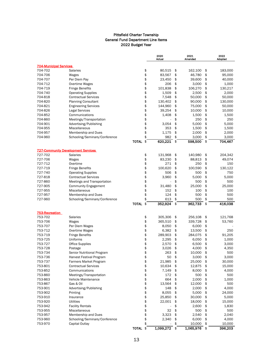|                                           |                               |                    | 2020<br>Actual | 2021<br>Amended | 2022<br>Adopted |
|-------------------------------------------|-------------------------------|--------------------|----------------|-----------------|-----------------|
| <b>704-Municipal Services</b>             |                               |                    |                |                 |                 |
| 704-702                                   | <b>Salaries</b>               | \$                 | 80,515         | \$<br>162,100   | \$<br>183,000   |
| 704-706                                   | Wages                         | \$                 | 83,567         | \$<br>46,780    | \$<br>95,000    |
| 704-707                                   | Per Diem Pay                  | \$                 | 23,450         | \$<br>39,600    | \$<br>40,000    |
| 704-712                                   | Overtime Wages                | \$                 | 206            | \$<br>3,000     | \$<br>1,000     |
| 704-719                                   | <b>Fringe Benefits</b>        | \$                 | 101,838        | \$<br>106,270   | \$<br>130,217   |
| 704-740                                   | <b>Operating Supplies</b>     | \$                 | 1,509          | \$<br>2,500     | \$<br>2,000     |
| 704-818                                   | <b>Contractual Services</b>   | \$                 | 7,548          | \$<br>50,000    | \$<br>50,000    |
| 704-820                                   | <b>Planning Consultant</b>    | \$                 | 130,402        | \$<br>90,000    | \$<br>130,000   |
| 704-821                                   | <b>Engineering Services</b>   | \$                 | 144,960        | \$<br>75,000    | \$<br>50,000    |
| 704-826                                   | <b>Legal Services</b>         | \$                 | 39,254         | \$<br>10,000    | \$<br>10,000    |
| 704-852                                   | Communications                | \$                 | 1,408          | \$<br>1,500     | \$<br>1,500     |
| 704-860                                   | Meetings/Transportation       | \$                 |                | \$<br>250       | \$<br>250       |
| 704-901                                   | Advertising/Publishing        | \$                 | 3,054          | \$<br>5,000     | \$<br>5,000     |
| 704-955                                   | Miscellaneous                 | \$                 | 353            | \$<br>1,500     | \$<br>1,500     |
| 704-957                                   | <b>Membership and Dues</b>    | \$                 | 1,175          | \$<br>2,000     | \$<br>2,000     |
| 704-960                                   | Schooling/Seminars/Conference | \$                 | 982            | \$<br>3,000     | \$<br>3,000     |
|                                           |                               | \$<br><b>TOTAL</b> | 620,221        | \$<br>598,500   | \$<br>704,467   |
| <b>727-Community Development Services</b> |                               |                    |                |                 |                 |
| 727-702                                   | <b>Salaries</b>               | \$                 | 131,968        | \$<br>140,980   | \$<br>204,342   |
| 727-706                                   | Wages                         | \$                 | 83,230         | \$<br>88,813    | \$<br>49,074    |
| 727-712                                   | Overtime                      | \$                 | 271            | \$<br>250       | \$<br>150       |
| 727-719                                   | <b>Fringe Benefits</b>        | \$                 | 100,620        | \$<br>100,590   | \$<br>130,122   |
| 727-740                                   | <b>Operating Supplies</b>     | \$                 | 506            | \$<br>500       | \$<br>750       |
| 727-818                                   | <b>Contractual Services</b>   | \$                 | 3,960          | \$<br>5,000     | \$<br>5,000     |
| 727-860                                   | Meetings and Transportation   | \$                 |                | \$<br>500       | \$<br>500       |
| 727-905                                   | <b>Community Engagement</b>   | \$                 | 31,480         | \$<br>25,000    | \$<br>25,000    |
| 727-955                                   | Miscellaneous                 | \$                 | 152            | \$<br>100       | \$<br>100       |
| 727-957                                   | <b>Membership and Dues</b>    | \$                 | 124            | \$<br>500       | \$<br>500       |
| 727-960                                   | Schooling/Seminars/Conference | \$                 | 613            | \$<br>500       | \$<br>500       |
|                                           |                               | \$<br><b>TOTAL</b> | 352,924        | \$<br>362,733   | \$<br>416,038   |
| 753-Recreation                            |                               |                    |                |                 |                 |
| 753-702                                   | <b>Salaries</b>               | \$                 | 305,306        | \$<br>256,108   | \$<br>121,768   |
| 753-706                                   | Wages                         | \$                 | 365,510        | \$<br>339,728   | \$<br>53,760    |
| 753-707                                   | Per Diem Wages                | \$                 | 8,050          | \$<br>6,000     | \$              |
| 753-712                                   | Overtime Wages                | \$                 | 6,382          | \$<br>13,500    | \$<br>250       |
| 753-719                                   | <b>Fringe Benefits</b>        | \$                 | 289,903        | \$<br>284,075   | \$<br>91,205    |
| 753-725                                   | Uniforms                      | \$                 | 2,295          | \$<br>6,050     | \$<br>1,000     |
| 753-727                                   | Office Supplies               | \$                 | 2,570          | \$<br>6,500     | \$<br>3,000     |
| 753-728                                   | Postage                       | \$                 | 3,026          | \$<br>4,000     | \$<br>4,350     |
| 753-734                                   | Senior Nutritional Program    | \$                 | 263            | \$<br>10,000    | \$<br>500       |
| 753-736                                   | Harvest Festival Program      | \$                 | 50             | \$<br>3,000     | \$<br>3,000     |
| 753-737                                   | <b>Farmers Market Program</b> | \$                 | 21,985         | \$<br>25,000    | \$<br>30,000    |
| 753-801                                   | <b>Contractual Services</b>   | \$                 | 10,634         | \$<br>12,875    | \$<br>15,000    |
| 753-852                                   | Communications                | \$                 | 7,149          | \$<br>8,000     | \$<br>4,000     |
| 753-860                                   | Meetings/Transportation       | \$                 | 172            | \$<br>500       | \$<br>500       |
| 753-863                                   | Vehicle Maintenance           | \$                 | 664            | \$<br>2,000     | \$<br>1,000     |
| 753-867                                   | Gas & Oil                     | \$                 | 13,564         | \$<br>12,000    | \$<br>500       |
| 753-901                                   | Advertising/Publishing        | \$                 | 148            | \$<br>2,000     | \$<br>4,000     |
| 753-902                                   | Printing                      | \$                 | 8,055          | \$<br>5,000     | \$<br>24,000    |
| 753-910                                   | Insurance                     | \$                 | 25,850         | \$<br>30,000    | \$<br>5,000     |
| 753-920                                   | Utilities                     | \$                 | 22,001         | \$<br>18,000    | \$<br>15,000    |
| 753-942                                   | <b>Facility Rentals</b>       | \$                 |                | \$<br>2,600     | \$<br>1,830     |
| 753-955                                   | Miscellaneous                 | \$                 | 32             | \$<br>500       | \$<br>500       |
| 753-957                                   | <b>Membership and Dues</b>    | \$                 | 3,323          | \$<br>2,540     | \$<br>2,040     |
| 753-960                                   | Schooling/Seminars/Conference | \$                 | 2,340          | \$<br>6,000     | \$<br>4,000     |
| 753-970                                   | Capital Outlay                | \$                 |                | \$<br>10,000    | \$<br>10,000    |
|                                           |                               | TOTAL \$           | 1,099,272 \$   | 1,065,976       | \$<br>396,203   |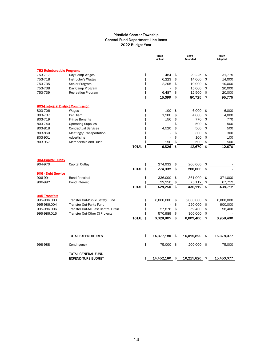|                                    |                                                        |              | 2020<br>Actual   | 2021<br>Amended  |               | 2022<br>Adopted |
|------------------------------------|--------------------------------------------------------|--------------|------------------|------------------|---------------|-----------------|
| <b>753-Reimbursable Programs</b>   |                                                        |              |                  |                  |               |                 |
| 753-717                            | Day Camp Wages                                         |              | \$<br>484        | \$<br>29,225     | \$            | 31,775          |
| 753-718                            | <b>Instructor's Wages</b>                              |              | \$<br>6,223      | \$<br>14,000     | \$            | 14,000          |
| 753-735                            | Senior Program                                         |              | \$<br>2,205      | \$<br>10,000     | \$            | 10,000          |
| 753-738                            | Day Camp Program                                       |              | \$               | \$<br>15,000     | \$            | 20,000          |
| 753-739                            | <b>Recreation Program</b>                              |              | \$<br>6,487      | \$<br>12,500     | \$            | 20,000          |
|                                    |                                                        |              | \$<br>15,399     | \$<br>80,725     | $\frac{1}{2}$ | 95,775          |
| 803-Historical District Commission |                                                        |              |                  |                  |               |                 |
| 803-706                            | Wages                                                  |              | \$<br>100        | \$<br>6,000      | \$            | 6,000           |
| 803-707                            | Per Diem                                               |              | \$<br>1,900      | \$<br>4,000      | \$            | 4,000           |
| 803-719                            | <b>Fringe Benefits</b>                                 |              | \$<br>156        | \$<br>770        | \$            | 770             |
| 803-740                            | <b>Operating Supplies</b>                              |              | \$               | \$<br>500        | \$            | 500             |
| 803-818                            | <b>Contractual Services</b>                            |              | \$<br>4,520      | \$<br>500        | \$            | 500             |
| 803-860                            | Meetings/Transportation                                |              | \$               | \$<br>300        | \$            | 300             |
| 803-901                            | Advertising                                            |              | \$               | \$<br>100        | \$            | 100             |
| 803-957                            | Membership and Dues                                    |              | \$<br>150        | \$<br>500        | \$            | 500             |
|                                    |                                                        | TOTAL        | \$<br>6,826      | \$<br>12,670     | \$            | 12,670          |
| 904-Capital Outlay                 |                                                        |              |                  |                  |               |                 |
| 904-970                            | Capital Outlay                                         |              | \$<br>274,932    | \$<br>200,000    | \$            |                 |
|                                    |                                                        | <b>TOTAL</b> | \$<br>274,932    | \$<br>200,000    | $\frac{1}{2}$ |                 |
| 906 - Debt Service                 |                                                        |              |                  |                  |               |                 |
| 906-991                            | <b>Bond Principal</b>                                  |              | \$<br>336,000    | \$<br>361,000    | \$            | 371,000         |
| 906-992                            | <b>Bond Interest</b>                                   |              | \$<br>92,250     | \$<br>75,112     | \$            | 67,712          |
|                                    |                                                        | <b>TOTAL</b> | \$<br>428,250    | \$<br>436,112    | -\$           | 438,712         |
| 995-Transfers                      |                                                        |              |                  |                  |               |                 |
| 995-986.003                        | Transfer Out-Public Safety Fund                        |              | \$<br>6,000,000  | \$<br>6,000,000  | \$            | 6,000,000       |
| 995-986.004                        | <b>Transfer Out-Parks Fund</b>                         |              | \$               | \$<br>250,000    | \$            | 900,000         |
| 995-986.006                        | Transfer Out-MI East Central Drain                     |              | \$<br>57,876     | \$<br>59,400     | \$            | 58,400          |
| 995-986.015                        | Transfer Out-Other CI Projects                         |              | \$<br>570,989    | \$<br>300,000    | \$            |                 |
|                                    |                                                        | <b>TOTAL</b> | \$<br>6,628,865  | \$<br>6,609,400  | $\frac{1}{2}$ | 6,958,400       |
|                                    |                                                        |              |                  |                  |               |                 |
|                                    | <b>TOTAL EXPENDITURES</b>                              |              | \$<br>14,377,180 | \$<br>16,015,820 | -\$           | 15,378,077      |
| 998-988                            | Contingency                                            |              | \$<br>75,000     | \$<br>200,000    | \$            | 75,000          |
|                                    | <b>TOTAL GENERAL FUND</b><br><b>EXPENDITURE BUDGET</b> |              | \$<br>14,452,180 | \$<br>16,215,820 | \$            | 15,453,077      |
|                                    |                                                        |              |                  |                  |               |                 |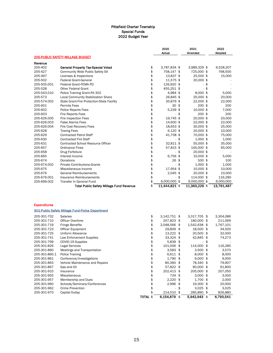|                     |                                                         |    | 2020<br>Actual | 2021<br>Amended | 2022<br><b>Adopted</b> |
|---------------------|---------------------------------------------------------|----|----------------|-----------------|------------------------|
|                     | <b>205-PUBLIC SAFETY MILLAGE BUDGET</b>                 |    |                |                 |                        |
| Revenue             |                                                         |    |                |                 |                        |
| 205-402             | <b>General Property Tax-Special Voted</b>               | \$ | 3,787,834 \$   | 3,989,329 \$    | 6,528,207              |
| 205-427             | <b>Community Wide Public Safety SA</b>                  | \$ | 758,147 \$     | 725,000 \$      | 768,500                |
| 205-497             | Licenses & Inspections                                  | \$ | 13,837 \$      | 25,000 \$       | 15,000                 |
| 205-502             | <b>Federal Grant-General</b>                            | \$ | 11,575 \$      | 20,000 \$       |                        |
| 205-505.001         | Federal Grant-FEMA PD                                   | \$ | 126,920 \$     | -\$             |                        |
| 205-528             | <b>Other Federal Grant</b>                              | \$ | 455,251 \$     | - \$            |                        |
| 205-543.010         | Police Training Grant-PA 302                            | \$ | 4,984 \$       | 8,000 \$        | 5,000                  |
| 205-573             | Local Community Stabilization Share                     | \$ | 26,845 \$      | 25,000 \$       | 20,000                 |
| 205-574.002         | State Grant-Fire Protection-State Facility              | \$ | 35,876 \$      | 22,000 \$       | 22,000                 |
| 205-601             | <b>Permits Fees</b>                                     | \$ | $30*$          | 200 \$          | 200                    |
| 205-602             | Police Reports Fees                                     | \$ | 5,239 \$       | 10,000 \$       | 7,000                  |
| 205-603             | <b>Fire Reports Fees</b>                                | \$ | -\$            | 200 \$          | 200                    |
| 205-626.005         | Fire Inspection Fees                                    | \$ | 19,745 \$      | 20,000 \$       | 20,000                 |
| 205-626.003         | <b>False Alarms Fees</b>                                | \$ | 14,600 \$      | 22,000 \$       | 22,000                 |
| 205-626.004         | Fire Cost Recovery Fees                                 | \$ | 18,653 \$      | 30,000 \$       | 25,000                 |
| 205-628             | <b>Towing Fees</b>                                      | \$ | $6,120$ \$     | 20,000 \$       | 10,000                 |
| 205-629             | <b>Contracted Patrol Staff</b>                          | \$ | 41,758 \$      | 70,000 \$       | 75,000                 |
| 205-630             | <b>Contracted Fire Staff</b>                            | \$ | - \$           | 1,000 \$        | 1,000                  |
| 205-631             | <b>Contracted School Resource Officer</b>               | \$ | 32,811 \$      | 55,000 \$       | 35,000                 |
| 205-657             | <b>Ordinance Fines</b>                                  | \$ | 57,815 \$      | 145,000 \$      | 65,000                 |
| 205-658             | Drug Forfeiture                                         | \$ | - \$           | 20,000 \$       |                        |
| 205-665             | Interest Income                                         | \$ | 6,756 \$       | 10,000 \$       | 5,000                  |
| 205-674             | Donations                                               | \$ | 26 \$          | 500 \$          | 100                    |
| 205-674.002         | <b>Private Contributions-Grants</b>                     | \$ | \$<br>ä,       | $1,000$ \$      | 1,000                  |
| 205-675             | Miscellaneous Income                                    | \$ | 17,954 \$      | 10,000 \$       | 10,000                 |
| 205-676             | <b>General Reimbursements</b>                           | \$ | $2,045$ \$     | 20,000 \$       | 10,000                 |
| 205-676.001         | Insurance Reimbursements                                | \$ | \$             | 114,000 \$      | 116,280                |
| 205-699.002         | Transfer In General Fund                                | \$ | 6,000,000 \$   | 6,000,000 \$    | 6,000,000              |
|                     | <b>Total Public Safety Millage Fund Revenue</b>         | \$ | 11,444,821 \$  | 11,363,229 \$   | 13,761,487             |
|                     |                                                         |    |                |                 |                        |
| <b>Expenditures</b> |                                                         |    |                |                 |                        |
|                     | <b>301-Public Safety Millage Fund-Police Department</b> |    |                |                 |                        |
| 205-301-702         | <b>Salaries</b>                                         | \$ | 3,142,751 \$   | 3,317,705 \$    | 3,304,086              |
| 205-301-710         | Officer Overtime                                        | \$ | 207,823 \$     | 180,000 \$      | 211,069                |
| 205-301-719         | <b>Fringe Benefits</b>                                  | \$ | 2,048,566 \$   | 1,542,638 \$    | 1,767,101              |
| 205-301-723         | <b>Officer Equipment</b>                                | \$ | 29,809 \$      | 18,500 \$       | 34,500                 |
| 205-301-725         | Uniform Allowance                                       | \$ | $13,222$ \$    | 20,500 \$       | 32,000                 |
| 205.201.711         | Low Enforcement Cupplice                                | ¢  | 222216         | 10015<br>¢      | 74 272                 |

|               |                                 | <b>TOTAL \$</b> | 6.154.879     | \$ | 5.942.943             | \$<br>6.793.541 |
|---------------|---------------------------------|-----------------|---------------|----|-----------------------|-----------------|
| 205-301-970   | Capital Outlay                  |                 | 214,010 \$    |    | 285,890 \$            | 826,880         |
| 205-301-962   | Crime Prevention                |                 | ٠             | £. | $3.025$ \$            | 3,025           |
| 205-301-960   | Schools/Seminars/Conferences    | \$              | $2,996$ \$    |    | 19.300 \$             | 20,000          |
| 205-301-957   | Membership and Dues             |                 | $2,220$ \$    |    | 1,700 \$              | 2,000           |
| 205-301-955   | <b>Miscellaneous</b>            |                 | 734 \$        |    | $3,000$ \$            | 3,000           |
| 205-301-910   | Insurance                       | \$              | 202.413 \$    |    | 205,000 \$            | 207,050         |
| 205-301-867   | Gas and Oil                     | \$              | 57.822 \$     |    | $90.000$ \$           | 91,800          |
| 205-301-863   | Vehicle Maintenance and Repairs | \$              | 80.360 \$     |    | 78.340 \$             | 79,907          |
| 205-301-861   | Conference/Investigations       | \$              | $1,790$ \$    |    | $9,000$ \$            | 9,000           |
| 205-301-860.1 | Police Training                 | \$              | $6,611$ \$    |    | $8,000$ \$            | 8,000           |
| 205-301-860   | Meetings and Transportation     |                 | $3,583$ \$    |    | $3.500$ \$            | 3,570           |
| 205-301-826   | <b>Legal Services</b>           |                 | 101.006 \$    |    | 114.000 \$            | 116,280         |
| 205-301-799   | COVID-19 Supplies               | \$              | $5.839$ \$    |    | ۰                     | \$              |
| 205-301-741   | Law Enforcement Supplies        | \$              | 33,324 \$     |    | 42,845 \$             | 74,273          |
| 205-301-725   | Uniform Allowance               | \$              | 13,222 \$     |    | 20.500 \$             | 32,000          |
| 205-301-723   | <b>Officer Equipment</b>        |                 | 29,809 \$     |    | 18.500 \$             | 34,500          |
| ∠ບປະບາ⊥ະ⊥ ⊥ປ  | <b>THIRD DETEINS</b>            | Ψ               | 2,0,0,0,0,0,0 |    | $+0.072,0.00$ $+0.00$ | ⊥, , ∪ , ⊥∪⊥    |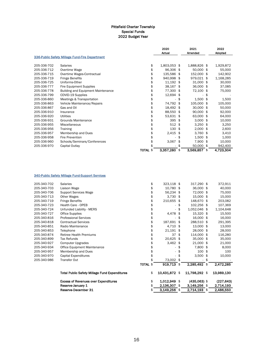|             |                                                |                 | 2020<br>Actual |     | 2021<br>Amended |     | 2022<br>Adopted |
|-------------|------------------------------------------------|-----------------|----------------|-----|-----------------|-----|-----------------|
|             | 336-Public Safety Millage Fund-Fire Department |                 |                |     |                 |     |                 |
| 205-336-702 | <b>Salaries</b>                                | \$              | 1,803,053 \$   |     | 1,888,826 \$    |     | 1,929,872       |
| 205-336-712 | Overtime Wage                                  | \$              | 96,306 \$      |     | 50,000 \$       |     | 55,000          |
| 205-336-715 | Overtime Wages-Contractual                     | \$              | 135,586 \$     |     | 152,000 \$      |     | 142,902         |
| 205-336-719 | <b>Fringe Benefits</b>                         | \$              | 940,998 \$     |     | 979,021 \$      |     | 1,168,285       |
| 205-336-725 | Uniforms-Other                                 | \$              | 11,192 \$      |     | 31,000 \$       |     | 30,000          |
| 205-336-777 | Fire Equipment Supplies                        | \$              | 38,167 \$      |     | 36,000 \$       |     | 37,085          |
| 205-336-778 | <b>Building and Equipment Maintenance</b>      | \$              | 77,300 \$      |     | 72,100 \$       |     | 75,000          |
| 205-336-799 | COVID-19 Supplies                              | \$              | 12,694 \$      |     |                 | \$  |                 |
| 205-336-860 | Meetings & Transportation                      | \$              |                | \$  | $1,500$ \$      |     | 1,500           |
| 205-336-863 | Vehicle Maintenance/Repairs                    | \$              | 74,792 \$      |     | 105,000 \$      |     | 105,000         |
| 205-336-867 | Gas and Oil                                    | \$              | 18,492 \$      |     | 30,000 \$       |     | 50,000          |
| 205-336-910 | Insurance                                      | \$              | 88,550 \$      |     | 90,000 \$       |     | 92,000          |
| 205-336-920 | Utilities                                      | \$              | 53,631 \$      |     | 63,000 \$       |     | 64,000          |
| 205-336-931 | Grounds Maintenance                            | \$              | 395            | \$  | $3,000$ \$      |     | 10,000          |
| 205-336-955 | Miscellaneous                                  | \$              | 512            | -\$ | $3,250$ \$      |     | 3,250           |
| 205-336-956 | Training                                       | \$              | 130            | \$  | $2,000$ \$      |     | 2,600           |
| 205-336-957 | Membership and Dues                            | \$              | 2,415          | \$  | $3,760$ \$      |     | 3,410           |
| 205-336-958 | <b>Fire Prevention</b>                         | \$              |                | \$  | $1,500$ \$      |     | 1,000           |
| 205-336-960 | Schools/Seminars/Conferences                   | \$              | 3,067          |     | 7,900 \$        |     | 10,000          |
| 205-336-970 | Capital Outlay                                 |                 |                | \$  | 50,000          | -\$ | 942,400         |
|             |                                                | <b>TOTAL \$</b> | 3,357,280      | \$  | 3,569,857       | \$  | 4,723,304       |

#### 340-Public Safety Millage Fund-Support Services

|             | Reserve-December 31                                  | \$              | $3,149,256$ \$ |     | 2,714,193 \$   | 2,486,550       |
|-------------|------------------------------------------------------|-----------------|----------------|-----|----------------|-----------------|
|             | Reserve-January 1                                    | \$              | 2,136,307 \$   |     | $3,149,256$ \$ | 2,714,193       |
|             | <b>Excess of Revenues over Expenditures</b>          | \$              | 1,012,949 \$   |     | $(435,063)$ \$ | (227, 643)      |
|             | <b>Total Public Safety Millage Fund Expenditures</b> | \$              | 10,431,872 \$  |     | 11,798,292 \$  | 13,989,130      |
|             |                                                      | <b>TOTAL \$</b> | 919,713 \$     |     | 2,285,492      | \$<br>2,472,285 |
| 205-340-986 | Transfer Out                                         |                 | 73,002 \$      |     |                | \$              |
| 205-340-970 | Capital Expenditures                                 | \$              |                |     | $3,500$ \$     | 10,000          |
| 205-340-957 | Membership and Dues                                  | \$              |                |     | $100$ \$       | 100             |
| 205-340-934 | Office Equipment Maintenance                         | \$              |                |     | 7,800 \$       | 8,000           |
| 205-340-927 | <b>Computer Upgrades</b>                             | \$              | $3,462$ \$     |     | 21,000 \$      | 21,000          |
| 205-340-899 | Tax Refunds                                          | \$              | 20,625 \$      |     | 35,000 \$      | 35,000          |
| 205-340-874 | <b>Retiree Health Premiums</b>                       | \$              | 37             | -\$ | 114,000 \$     | 116,280         |
| 205-340-853 | Telephone                                            | \$              | $21,191$ \$    |     | 28,000 \$      | 28,000          |
| 205-340-851 | Radio Maintenance                                    | \$              | 4,710 \$       |     | 13,000 \$      | 13,000          |
| 205-340-818 | <b>Contractual Services</b>                          | \$              | 187,691 \$     |     | 288,510 \$     | 291,395         |
| 205-340-816 | <b>Professional Services</b>                         | \$              |                | \$  | 16,000 \$      | 16,000          |
| 205-340-727 | <b>Office Supplies</b>                               | \$              | 4,478 \$       |     | 15,320 \$      | 15,500          |
| 205-340-724 | Unfunded Liability - MERS                            | \$              |                | -S  | 1,052,046 \$   | 1,104,648       |
| 205-340-723 | <b>Health Care - OPEB</b>                            | \$              |                |     | 102,256 \$     | 107,369         |
| 205-340-719 | <b>Fringe Benefits</b>                               | \$              | 210,655 \$     |     | 148,670 \$     | 203,082         |
| 205-340-713 | Other Wages                                          | \$              | $3,730$ \$     |     | 15,000 \$      | 15,000          |
| 205-340-706 | <b>Support Services Wage</b>                         | \$              | 56,234 \$      |     | 72,000 \$      | 75,000          |
| 205-340-703 | Liaison Wage                                         | \$              | 10,780 \$      |     | 36,000 \$      | 40,000          |
| 205-340-702 | <b>Salaries</b>                                      | \$              | 323,118 \$     |     | 317,290 \$     | 372,911         |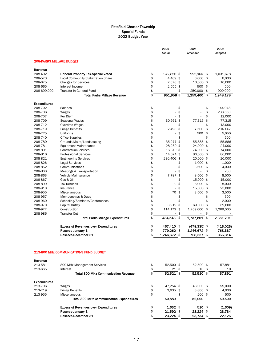| <b>208-PARKS MILLAGE BUDGET</b><br>Revenue<br>208-402<br>General Property Tax-Special Voted<br>\$<br>942,856 \$<br>992,966 \$<br>1,031,678<br>\$<br><b>Local Community Stabilization Share</b><br>4,469 \$<br>$6,000$ \$<br>208-573<br>\$<br>208-675<br>2,078 \$<br>10,000 \$<br><b>Charges for Services</b><br>\$<br>2,555 \$<br>500 \$<br>208-665<br>Interest Income<br>\$<br>250,000<br>\$<br>900.000<br>\$<br>208-699.002<br><b>Transfer In-General Fund</b><br>$\sim$<br>\$<br>951,958 \$<br>1,259,466 \$<br>1,948,178<br><b>Total Parks Millage Revenue</b><br><b>Expenditures</b><br>208-702<br>\$<br>\$<br>\$<br>144,948<br><b>Salaries</b><br>ä,<br>\$<br>\$<br>208-706<br>\$<br>238,660<br>Wages<br>÷.<br>\$<br>\$<br>\$<br>208-707<br>Per Diem<br>÷.<br>\$<br>208-709<br>30,951 \$<br>77,315<br>Seasonal Wages<br>\$<br>\$<br>208-712<br>Overtime Wages<br>\$<br>\$<br>\$<br>\$<br>2,493 \$<br>204,142<br>208-719<br><b>Fringe Benefits</b><br>7,500<br>\$<br>208-725<br>Uniforms<br>\$<br>500<br>\$<br>$\overline{\phantom{a}}$<br>\$<br>\$<br>208-740<br><b>Office Supplies</b><br>\$<br>$\mathcal{L}_{\mathcal{A}}$<br>ä,<br>\$<br>55,886 \$<br>35,277 \$<br>208-780<br>Grounds Maint/Landscaping<br>\$<br>28,280 \$<br>24,000 \$<br>208-781<br><b>Equipment Maintenance</b><br>\$<br>208-801<br><b>Contractual Services</b><br>16,310 \$<br>74,000 \$<br>\$<br>208-816<br>14,874 \$<br>86,000 \$<br><b>Professional Services</b><br>\$<br>20,000 \$<br>208-821<br><b>Engineering Services</b><br>230,406 \$<br>\$<br>208-826<br>\$<br>$1,000$ \$<br><b>Legal Services</b><br>$\sim$<br>\$<br>\$<br>208-852<br>3,600<br>\$<br>Communications<br>÷.<br>\$<br>\$<br>\$<br>208-860<br>Meetings & Transportation<br>÷.<br>ä,<br>\$<br>208-863<br>7,787 \$<br>8,500<br>\$<br>Vehicle Maintenance<br>\$<br>\$<br>208-867<br>15,000 \$<br>15,000<br>Gas & Oil<br>$\overline{\phantom{a}}$ |              |
|--------------------------------------------------------------------------------------------------------------------------------------------------------------------------------------------------------------------------------------------------------------------------------------------------------------------------------------------------------------------------------------------------------------------------------------------------------------------------------------------------------------------------------------------------------------------------------------------------------------------------------------------------------------------------------------------------------------------------------------------------------------------------------------------------------------------------------------------------------------------------------------------------------------------------------------------------------------------------------------------------------------------------------------------------------------------------------------------------------------------------------------------------------------------------------------------------------------------------------------------------------------------------------------------------------------------------------------------------------------------------------------------------------------------------------------------------------------------------------------------------------------------------------------------------------------------------------------------------------------------------------------------------------------------------------------------------------------------------------------------------------------------------------------------------------------------------------------------------------------------------------------------------|--------------|
|                                                                                                                                                                                                                                                                                                                                                                                                                                                                                                                                                                                                                                                                                                                                                                                                                                                                                                                                                                                                                                                                                                                                                                                                                                                                                                                                                                                                                                                                                                                                                                                                                                                                                                                                                                                                                                                                                                  |              |
|                                                                                                                                                                                                                                                                                                                                                                                                                                                                                                                                                                                                                                                                                                                                                                                                                                                                                                                                                                                                                                                                                                                                                                                                                                                                                                                                                                                                                                                                                                                                                                                                                                                                                                                                                                                                                                                                                                  |              |
|                                                                                                                                                                                                                                                                                                                                                                                                                                                                                                                                                                                                                                                                                                                                                                                                                                                                                                                                                                                                                                                                                                                                                                                                                                                                                                                                                                                                                                                                                                                                                                                                                                                                                                                                                                                                                                                                                                  |              |
|                                                                                                                                                                                                                                                                                                                                                                                                                                                                                                                                                                                                                                                                                                                                                                                                                                                                                                                                                                                                                                                                                                                                                                                                                                                                                                                                                                                                                                                                                                                                                                                                                                                                                                                                                                                                                                                                                                  | 6,000        |
|                                                                                                                                                                                                                                                                                                                                                                                                                                                                                                                                                                                                                                                                                                                                                                                                                                                                                                                                                                                                                                                                                                                                                                                                                                                                                                                                                                                                                                                                                                                                                                                                                                                                                                                                                                                                                                                                                                  | 10,000       |
|                                                                                                                                                                                                                                                                                                                                                                                                                                                                                                                                                                                                                                                                                                                                                                                                                                                                                                                                                                                                                                                                                                                                                                                                                                                                                                                                                                                                                                                                                                                                                                                                                                                                                                                                                                                                                                                                                                  | 500          |
|                                                                                                                                                                                                                                                                                                                                                                                                                                                                                                                                                                                                                                                                                                                                                                                                                                                                                                                                                                                                                                                                                                                                                                                                                                                                                                                                                                                                                                                                                                                                                                                                                                                                                                                                                                                                                                                                                                  |              |
|                                                                                                                                                                                                                                                                                                                                                                                                                                                                                                                                                                                                                                                                                                                                                                                                                                                                                                                                                                                                                                                                                                                                                                                                                                                                                                                                                                                                                                                                                                                                                                                                                                                                                                                                                                                                                                                                                                  |              |
|                                                                                                                                                                                                                                                                                                                                                                                                                                                                                                                                                                                                                                                                                                                                                                                                                                                                                                                                                                                                                                                                                                                                                                                                                                                                                                                                                                                                                                                                                                                                                                                                                                                                                                                                                                                                                                                                                                  |              |
|                                                                                                                                                                                                                                                                                                                                                                                                                                                                                                                                                                                                                                                                                                                                                                                                                                                                                                                                                                                                                                                                                                                                                                                                                                                                                                                                                                                                                                                                                                                                                                                                                                                                                                                                                                                                                                                                                                  |              |
|                                                                                                                                                                                                                                                                                                                                                                                                                                                                                                                                                                                                                                                                                                                                                                                                                                                                                                                                                                                                                                                                                                                                                                                                                                                                                                                                                                                                                                                                                                                                                                                                                                                                                                                                                                                                                                                                                                  |              |
|                                                                                                                                                                                                                                                                                                                                                                                                                                                                                                                                                                                                                                                                                                                                                                                                                                                                                                                                                                                                                                                                                                                                                                                                                                                                                                                                                                                                                                                                                                                                                                                                                                                                                                                                                                                                                                                                                                  | 12,000       |
|                                                                                                                                                                                                                                                                                                                                                                                                                                                                                                                                                                                                                                                                                                                                                                                                                                                                                                                                                                                                                                                                                                                                                                                                                                                                                                                                                                                                                                                                                                                                                                                                                                                                                                                                                                                                                                                                                                  | 77,315       |
|                                                                                                                                                                                                                                                                                                                                                                                                                                                                                                                                                                                                                                                                                                                                                                                                                                                                                                                                                                                                                                                                                                                                                                                                                                                                                                                                                                                                                                                                                                                                                                                                                                                                                                                                                                                                                                                                                                  | 13,000       |
|                                                                                                                                                                                                                                                                                                                                                                                                                                                                                                                                                                                                                                                                                                                                                                                                                                                                                                                                                                                                                                                                                                                                                                                                                                                                                                                                                                                                                                                                                                                                                                                                                                                                                                                                                                                                                                                                                                  |              |
|                                                                                                                                                                                                                                                                                                                                                                                                                                                                                                                                                                                                                                                                                                                                                                                                                                                                                                                                                                                                                                                                                                                                                                                                                                                                                                                                                                                                                                                                                                                                                                                                                                                                                                                                                                                                                                                                                                  | 5,050        |
|                                                                                                                                                                                                                                                                                                                                                                                                                                                                                                                                                                                                                                                                                                                                                                                                                                                                                                                                                                                                                                                                                                                                                                                                                                                                                                                                                                                                                                                                                                                                                                                                                                                                                                                                                                                                                                                                                                  | 500          |
|                                                                                                                                                                                                                                                                                                                                                                                                                                                                                                                                                                                                                                                                                                                                                                                                                                                                                                                                                                                                                                                                                                                                                                                                                                                                                                                                                                                                                                                                                                                                                                                                                                                                                                                                                                                                                                                                                                  | 55,886       |
|                                                                                                                                                                                                                                                                                                                                                                                                                                                                                                                                                                                                                                                                                                                                                                                                                                                                                                                                                                                                                                                                                                                                                                                                                                                                                                                                                                                                                                                                                                                                                                                                                                                                                                                                                                                                                                                                                                  | 24,000       |
|                                                                                                                                                                                                                                                                                                                                                                                                                                                                                                                                                                                                                                                                                                                                                                                                                                                                                                                                                                                                                                                                                                                                                                                                                                                                                                                                                                                                                                                                                                                                                                                                                                                                                                                                                                                                                                                                                                  | 74,000       |
|                                                                                                                                                                                                                                                                                                                                                                                                                                                                                                                                                                                                                                                                                                                                                                                                                                                                                                                                                                                                                                                                                                                                                                                                                                                                                                                                                                                                                                                                                                                                                                                                                                                                                                                                                                                                                                                                                                  | 86,000       |
|                                                                                                                                                                                                                                                                                                                                                                                                                                                                                                                                                                                                                                                                                                                                                                                                                                                                                                                                                                                                                                                                                                                                                                                                                                                                                                                                                                                                                                                                                                                                                                                                                                                                                                                                                                                                                                                                                                  | 20,000       |
|                                                                                                                                                                                                                                                                                                                                                                                                                                                                                                                                                                                                                                                                                                                                                                                                                                                                                                                                                                                                                                                                                                                                                                                                                                                                                                                                                                                                                                                                                                                                                                                                                                                                                                                                                                                                                                                                                                  | 1,000        |
|                                                                                                                                                                                                                                                                                                                                                                                                                                                                                                                                                                                                                                                                                                                                                                                                                                                                                                                                                                                                                                                                                                                                                                                                                                                                                                                                                                                                                                                                                                                                                                                                                                                                                                                                                                                                                                                                                                  | 4,000        |
|                                                                                                                                                                                                                                                                                                                                                                                                                                                                                                                                                                                                                                                                                                                                                                                                                                                                                                                                                                                                                                                                                                                                                                                                                                                                                                                                                                                                                                                                                                                                                                                                                                                                                                                                                                                                                                                                                                  | 200          |
|                                                                                                                                                                                                                                                                                                                                                                                                                                                                                                                                                                                                                                                                                                                                                                                                                                                                                                                                                                                                                                                                                                                                                                                                                                                                                                                                                                                                                                                                                                                                                                                                                                                                                                                                                                                                                                                                                                  | 8.500        |
|                                                                                                                                                                                                                                                                                                                                                                                                                                                                                                                                                                                                                                                                                                                                                                                                                                                                                                                                                                                                                                                                                                                                                                                                                                                                                                                                                                                                                                                                                                                                                                                                                                                                                                                                                                                                                                                                                                  |              |
| \$<br>9<br>\$<br>208-899<br>8,000 \$<br><b>Tax Refunds</b>                                                                                                                                                                                                                                                                                                                                                                                                                                                                                                                                                                                                                                                                                                                                                                                                                                                                                                                                                                                                                                                                                                                                                                                                                                                                                                                                                                                                                                                                                                                                                                                                                                                                                                                                                                                                                                       | 8,000        |
| \$<br>\$<br>15,000 \$<br>208-910<br>Insurance<br>÷.                                                                                                                                                                                                                                                                                                                                                                                                                                                                                                                                                                                                                                                                                                                                                                                                                                                                                                                                                                                                                                                                                                                                                                                                                                                                                                                                                                                                                                                                                                                                                                                                                                                                                                                                                                                                                                              | 25,000       |
| \$<br>\$<br>208-955<br>70<br>3,500<br>\$<br>Miscellaneous                                                                                                                                                                                                                                                                                                                                                                                                                                                                                                                                                                                                                                                                                                                                                                                                                                                                                                                                                                                                                                                                                                                                                                                                                                                                                                                                                                                                                                                                                                                                                                                                                                                                                                                                                                                                                                        | 3,500        |
| \$<br>\$<br>208-957<br>\$<br>÷                                                                                                                                                                                                                                                                                                                                                                                                                                                                                                                                                                                                                                                                                                                                                                                                                                                                                                                                                                                                                                                                                                                                                                                                                                                                                                                                                                                                                                                                                                                                                                                                                                                                                                                                                                                                                                                                   |              |
| Memberships & Dues<br>\$<br>\$<br>208-960<br>\$<br>÷.                                                                                                                                                                                                                                                                                                                                                                                                                                                                                                                                                                                                                                                                                                                                                                                                                                                                                                                                                                                                                                                                                                                                                                                                                                                                                                                                                                                                                                                                                                                                                                                                                                                                                                                                                                                                                                            | 500<br>2,000 |
| Schooling/Seminars/Conferences<br>\$<br>208-970<br>3,919 \$<br>69,000<br>\$                                                                                                                                                                                                                                                                                                                                                                                                                                                                                                                                                                                                                                                                                                                                                                                                                                                                                                                                                                                                                                                                                                                                                                                                                                                                                                                                                                                                                                                                                                                                                                                                                                                                                                                                                                                                                      | 69,000       |
| Capital Outlay<br>114,172 \$                                                                                                                                                                                                                                                                                                                                                                                                                                                                                                                                                                                                                                                                                                                                                                                                                                                                                                                                                                                                                                                                                                                                                                                                                                                                                                                                                                                                                                                                                                                                                                                                                                                                                                                                                                                                                                                                     |              |
| \$<br>208-977<br>Construction<br>1,269,000<br>\$<br>1,269,000<br>\$                                                                                                                                                                                                                                                                                                                                                                                                                                                                                                                                                                                                                                                                                                                                                                                                                                                                                                                                                                                                                                                                                                                                                                                                                                                                                                                                                                                                                                                                                                                                                                                                                                                                                                                                                                                                                              |              |
| \$<br>208-986<br>\$<br><b>Transfer Out</b><br>$\overline{\phantom{a}}$<br>\$                                                                                                                                                                                                                                                                                                                                                                                                                                                                                                                                                                                                                                                                                                                                                                                                                                                                                                                                                                                                                                                                                                                                                                                                                                                                                                                                                                                                                                                                                                                                                                                                                                                                                                                                                                                                                     |              |
| 484,548 \$<br>1,737,801 \$<br>2,361,201<br><b>Total Parks Millage Expenditures</b>                                                                                                                                                                                                                                                                                                                                                                                                                                                                                                                                                                                                                                                                                                                                                                                                                                                                                                                                                                                                                                                                                                                                                                                                                                                                                                                                                                                                                                                                                                                                                                                                                                                                                                                                                                                                               |              |
| \$<br>467,410 \$<br><b>Excess of Revenues over Expenditures</b><br>$(478, 335)$ \$<br>(413, 023)<br>\$                                                                                                                                                                                                                                                                                                                                                                                                                                                                                                                                                                                                                                                                                                                                                                                                                                                                                                                                                                                                                                                                                                                                                                                                                                                                                                                                                                                                                                                                                                                                                                                                                                                                                                                                                                                           |              |
| <b>Reserve-January 1</b><br>779,262 \$<br>1,246,672 \$<br>768,337<br>$1,246,672$ \$<br>768,337 \$<br>\$                                                                                                                                                                                                                                                                                                                                                                                                                                                                                                                                                                                                                                                                                                                                                                                                                                                                                                                                                                                                                                                                                                                                                                                                                                                                                                                                                                                                                                                                                                                                                                                                                                                                                                                                                                                          |              |
| 355,314<br>Reserve-December 31                                                                                                                                                                                                                                                                                                                                                                                                                                                                                                                                                                                                                                                                                                                                                                                                                                                                                                                                                                                                                                                                                                                                                                                                                                                                                                                                                                                                                                                                                                                                                                                                                                                                                                                                                                                                                                                                   |              |
| 213-800 MHz COMMUNICATIONS FUND BUDGET                                                                                                                                                                                                                                                                                                                                                                                                                                                                                                                                                                                                                                                                                                                                                                                                                                                                                                                                                                                                                                                                                                                                                                                                                                                                                                                                                                                                                                                                                                                                                                                                                                                                                                                                                                                                                                                           |              |
| Revenue                                                                                                                                                                                                                                                                                                                                                                                                                                                                                                                                                                                                                                                                                                                                                                                                                                                                                                                                                                                                                                                                                                                                                                                                                                                                                                                                                                                                                                                                                                                                                                                                                                                                                                                                                                                                                                                                                          |              |
| 213-581<br>\$<br>52,500 \$<br>52,500 \$<br>800 MHz Management Services                                                                                                                                                                                                                                                                                                                                                                                                                                                                                                                                                                                                                                                                                                                                                                                                                                                                                                                                                                                                                                                                                                                                                                                                                                                                                                                                                                                                                                                                                                                                                                                                                                                                                                                                                                                                                           | 57,881       |
| \$<br>213-665<br>21 \$<br>Interest<br>10 \$                                                                                                                                                                                                                                                                                                                                                                                                                                                                                                                                                                                                                                                                                                                                                                                                                                                                                                                                                                                                                                                                                                                                                                                                                                                                                                                                                                                                                                                                                                                                                                                                                                                                                                                                                                                                                                                      | 10           |
| \$<br><b>Total 800 MHz Communication Revenue</b><br>52,521 \$<br>52,510 \$                                                                                                                                                                                                                                                                                                                                                                                                                                                                                                                                                                                                                                                                                                                                                                                                                                                                                                                                                                                                                                                                                                                                                                                                                                                                                                                                                                                                                                                                                                                                                                                                                                                                                                                                                                                                                       | 57,891       |
| <b>Expenditures</b>                                                                                                                                                                                                                                                                                                                                                                                                                                                                                                                                                                                                                                                                                                                                                                                                                                                                                                                                                                                                                                                                                                                                                                                                                                                                                                                                                                                                                                                                                                                                                                                                                                                                                                                                                                                                                                                                              |              |
| 213-706<br>\$<br>47,254 \$<br>48,000 \$<br>Wages                                                                                                                                                                                                                                                                                                                                                                                                                                                                                                                                                                                                                                                                                                                                                                                                                                                                                                                                                                                                                                                                                                                                                                                                                                                                                                                                                                                                                                                                                                                                                                                                                                                                                                                                                                                                                                                 | 55,000       |
| \$<br>$3,635$ \$<br>213-719<br><b>Fringe Benefits</b><br>$3,800$ \$                                                                                                                                                                                                                                                                                                                                                                                                                                                                                                                                                                                                                                                                                                                                                                                                                                                                                                                                                                                                                                                                                                                                                                                                                                                                                                                                                                                                                                                                                                                                                                                                                                                                                                                                                                                                                              | 4,000        |
| \$<br>213-955<br>Miscellaneous<br>200 \$<br>\$                                                                                                                                                                                                                                                                                                                                                                                                                                                                                                                                                                                                                                                                                                                                                                                                                                                                                                                                                                                                                                                                                                                                                                                                                                                                                                                                                                                                                                                                                                                                                                                                                                                                                                                                                                                                                                                   | 500          |
| <b>Total 800 MHz Communication Expenditures</b><br>50,889<br>52,000                                                                                                                                                                                                                                                                                                                                                                                                                                                                                                                                                                                                                                                                                                                                                                                                                                                                                                                                                                                                                                                                                                                                                                                                                                                                                                                                                                                                                                                                                                                                                                                                                                                                                                                                                                                                                              | 59,500       |
| <b>Excess of Revenues over Expenditures</b><br>\$<br>$1,632$ \$<br>510 \$                                                                                                                                                                                                                                                                                                                                                                                                                                                                                                                                                                                                                                                                                                                                                                                                                                                                                                                                                                                                                                                                                                                                                                                                                                                                                                                                                                                                                                                                                                                                                                                                                                                                                                                                                                                                                        | (1,609)      |
| \$<br>23,224 \$<br>Reserve-January 1<br>21,592 \$                                                                                                                                                                                                                                                                                                                                                                                                                                                                                                                                                                                                                                                                                                                                                                                                                                                                                                                                                                                                                                                                                                                                                                                                                                                                                                                                                                                                                                                                                                                                                                                                                                                                                                                                                                                                                                                | 23,734       |
| 22,125<br>\$<br>23,224 \$<br>23,734 \$<br>Reserve-December 31                                                                                                                                                                                                                                                                                                                                                                                                                                                                                                                                                                                                                                                                                                                                                                                                                                                                                                                                                                                                                                                                                                                                                                                                                                                                                                                                                                                                                                                                                                                                                                                                                                                                                                                                                                                                                                    |              |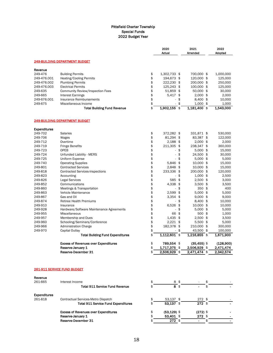|                     |                                                                                   |          | 2020<br>Actual                      | 2021<br>Amended           | 2022<br>Adopted      |
|---------------------|-----------------------------------------------------------------------------------|----------|-------------------------------------|---------------------------|----------------------|
|                     | <u> 249-BUILDING DEPARTMENT BUDGET</u>                                            |          |                                     |                           |                      |
| Revenue             |                                                                                   |          |                                     |                           |                      |
| 249-476             | <b>Building Permits</b>                                                           | \$       | 1,302,733 \$                        | 700,000 \$                | 1,000,000            |
| 249-476.001         | Heating/Cooling Permits                                                           | \$       | 194,673 \$                          | 120,000 \$                | 125,000              |
| 249-476.002         | <b>Plumbing Permits</b>                                                           | \$       | 222,230 \$                          | 200,000 \$                | 250,000              |
| 249-476.003         | <b>Electrical Permits</b>                                                         | \$       | 125,243 \$                          | 100,000 \$                | 125,000              |
| 249-635<br>249-665  | Community Review/Inspection Fees<br><b>Interest Earnings</b>                      | \$<br>\$ | 51,859 \$<br>5,417 \$               | 50,000 \$<br>$2,000$ \$   | 30,000               |
| 249-676.001         | Insurance Reimbursements                                                          | \$       | \$                                  | 8,400 \$                  | 2,000<br>10,000      |
| 249-675             | Miscellaneous Income                                                              | \$       | \$<br>ä,                            | $1,000$ \$                | 1,000                |
|                     | <b>Total Building Fund Revenue</b>                                                | \$       | 1,902,155<br>\$                     | 1,181,400 \$              | 1,543,000            |
|                     | <u> 249-BUILDING DEPARTMENT BUDGET</u>                                            |          |                                     |                           |                      |
| <b>Expenditures</b> |                                                                                   |          |                                     |                           |                      |
| 249-702             | <b>Salaries</b>                                                                   | \$       | 372,282 \$                          | 331,871 \$                | 530,000              |
| 249-706             | Wages                                                                             | \$       | 81,294 \$                           | 83,387 \$                 | 122,000              |
| 249-712             | Overtime                                                                          | \$       | 2,188 \$                            | $2,000$ \$                | 2,000                |
| 249-719             | <b>Fringe Benefits</b>                                                            | \$       | 211,305 \$                          | 238,347 \$                | 360,000              |
| 249-723             | OPEB                                                                              | \$       | \$<br>$\overline{\phantom{a}}$      | $5,000$ \$                | 15,000               |
| 249-724             | Unfunded Liability - MERS                                                         | \$       | \$<br>÷,                            | 24,500 \$                 | 30,000               |
| 249-725             | Uniform Expense                                                                   | \$       | \$<br>ä,                            | $5,000$ \$                | 5,000                |
| 249-740             | <b>Operating Supplies</b>                                                         | \$       | 5,846 \$                            | 10,000 \$                 | 15,000               |
| 249-801             | <b>Contracted Services</b>                                                        | \$       | 2,848 \$                            | 10,000 \$                 | 15,000               |
| 249-818             | <b>Contracted Services-Inspections</b>                                            | \$       | 233,336 \$                          | 200,000 \$                | 120,000              |
| 249-823             | Accounting                                                                        | \$       | \$<br>$\sim$                        | $1,000$ \$                | 2,500                |
| 249-826             | <b>Legal Services</b>                                                             | \$       | 585 \$                              | $2,500$ \$                | 3,000                |
| 249-852             | Communications                                                                    | \$       | 4,338 \$                            | $3,500$ \$                | 3,500                |
| 249-860             | Meetings & Transportation                                                         | \$       | \$<br>$\mathcal{L}_{\mathcal{A}}$   | 350 \$                    | 400                  |
| 249-863             | Vehicle Maintenance                                                               | \$       | 2,599<br>\$                         | $5,000$ \$                | 5,000                |
| 249-867             | Gas and Oil                                                                       | \$       | 3,354<br>\$                         | $9,000$ \$                | 9,000                |
| 249-874             | <b>Retiree Health Premiums</b>                                                    | \$       | \$                                  | 8,400 \$                  | 10,000               |
| 249-910             | Insurance                                                                         | \$       | \$<br>6,526                         | 10,000 \$                 | 10,000               |
| 249-928             | Hardware/Software Maintenance Agreements                                          | \$       | \$                                  | $5,000$ \$                | 5,000                |
| 249-955             | Miscellaneous                                                                     | \$       | 66<br>\$                            | $500$ \$                  | 1,000                |
| 249-957             | Membership and Dues                                                               | \$       | $1,435$ \$                          | $2,500$ \$                | 3,500                |
| 249-960             | Schooling/Seminars/Conference                                                     | \$       | $2,221$ \$                          | $5,500$ \$                | 5,000                |
| 249-966             | <b>Administration Charge</b>                                                      | \$       | 182,378 \$                          | 210,000 \$                | 300,000              |
| 249-970             | Capital Outlay<br>Total Building Fund Expenditures                                | \$<br>\$ | \$<br>$\frac{1}{2}$<br>1,112,601 \$ | 43,500 \$<br>1,216,855 \$ | 100,000<br>1,671,900 |
|                     | <b>Excess of Revenues over Expenditures</b>                                       | \$       | 789,554 \$                          | $(35, 455)$ \$            | (128,900)            |
|                     | Reserve-January 1                                                                 | ¢        | 1,717,375 \$                        | 2,506,929 \$              | 2,471,474            |
|                     | Reserve-December 31                                                               | \$       | $2,506,929$ \$                      | 2,471,474 \$              | 2,342,574            |
|                     | <b>261-911 SERVICE FUND BUDGET</b>                                                |          |                                     |                           |                      |
| Revenue             |                                                                                   |          |                                     |                           |                      |
| 261-665             | Interest Income                                                                   | \$       |                                     |                           |                      |
|                     | <b>Total 911 Service Fund Revenue</b>                                             | \$       | 8 \$                                |                           |                      |
| <b>Expenditures</b> |                                                                                   |          |                                     |                           |                      |
| 261-818             | Contractual Services-Metro Dispatch<br><b>Total 911 Service Fund Expenditures</b> | \$<br>\$ | 53,137 \$<br>53.137 \$              | 272 \$<br>$272$ \$        |                      |
|                     |                                                                                   |          |                                     |                           |                      |
|                     | <b>Excess of Revenues over Expenditures</b>                                       | \$       | $(53, 129)$ \$                      | $(272)$ \$                |                      |
|                     | Reserve-January 1                                                                 | \$       | 53,401 \$                           | 272 \$                    |                      |

Reserve-December 31  $\qquad \qquad \Rightarrow \qquad \qquad$   $\qquad \qquad$   $\qquad \qquad$   $\qquad \qquad$   $\qquad \qquad$   $\qquad \qquad$   $\qquad \qquad$   $\qquad \qquad$   $\qquad \qquad$   $\qquad \qquad$   $\qquad \qquad$   $\qquad \qquad$   $\qquad \qquad$   $\qquad \qquad$   $\qquad \qquad$   $\qquad \qquad$   $\qquad \qquad$   $\qquad \qquad$   $\qquad \qquad$   $\qquad \qquad$   $\qquad \qquad$   $\qquad$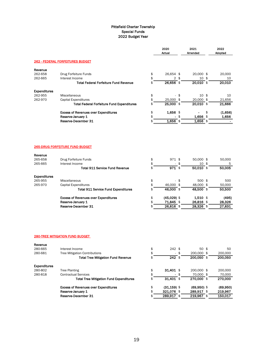|                |                        | Adopted                              |
|----------------|------------------------|--------------------------------------|
|                |                        |                                      |
|                |                        |                                      |
| 26,654 \$      | 20,000 \$              | 20,000                               |
| 2 <sup>5</sup> | $10*$                  | 10                                   |
| $26,656$ \$    | 20,010 \$              | 20,010                               |
|                |                        |                                      |
| \$             | 10 <sup>5</sup>        | 10                                   |
| 25,000 \$      | 20,000 \$              | 21,656                               |
| $25,000$ \$    | $20,010$ \$            | 21,666                               |
| 1,656 \$       |                        | \$<br>(1,656)                        |
|                | 1,656 \$               | 1,656                                |
| 1,656 \$       | $1.656$ \$             |                                      |
| 971 \$         | 50,000 \$              | 50,000                               |
|                | $10*$                  | 5                                    |
| $971$ \$       | $50,010$ \$            | 50,005                               |
|                |                        |                                      |
| \$             | 500 \$                 | 500                                  |
| 46,000 \$      | 48,000 \$              | 50,000                               |
| 46,000 \$      | $48,500$ \$            | 50,500                               |
| $(45,029)$ \$  |                        | (495)                                |
|                |                        | 28,326                               |
|                |                        | 27,831                               |
|                | 71,845 \$<br>26,816 \$ | $1,510$ \$<br>26,816 \$<br>28,326 \$ |

#### 280-TREE MITIGATION FUND BUDGET

| Revenue             |                                                |                      |      |                 |               |
|---------------------|------------------------------------------------|----------------------|------|-----------------|---------------|
| 280-665             | Interest Income                                | \$<br>$242$ \$       |      | 50 <sup>5</sup> | 50            |
| 280-681             | <b>Tree Mitigation Contributions</b>           | \$                   | - \$ | 200,000 \$      | 200,000       |
|                     | <b>Total Tree Mitigation Fund Revenue</b>      | \$<br>$242$ \$       |      | 200.050 \$      | 200,050       |
| <b>Expenditures</b> |                                                |                      |      |                 |               |
| 280-802             | Tree Planting                                  | \$<br>$31.401$ \$    |      | 200,000 \$      | 200,000       |
| 280-818             | <b>Contractual Services</b>                    | \$                   | - \$ | 70,000 \$       | 70,000        |
|                     | <b>Total Tree Mitigation Fund Expenditures</b> | \$<br>$31,401$ \$    |      | 270,000 \$      | 270,000       |
|                     | <b>Excess of Revenues over Expenditures</b>    | \$<br>$(31, 159)$ \$ |      | $(69,950)$ \$   | (69,950)      |
|                     | Reserve-January 1                              | \$<br>321.076 \$     |      | 289,917 \$      | 219,967       |
|                     | Reserve-December 31                            | \$<br>289,917 \$     |      | 219,967         | \$<br>150.017 |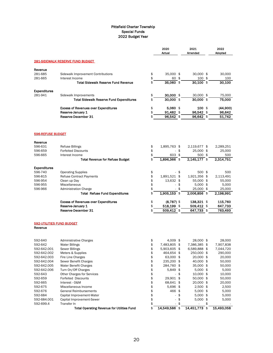|                                             |                                                                  |          | 2020<br>Actual             | 2021<br>Amended          | 2022<br>Adopted    |
|---------------------------------------------|------------------------------------------------------------------|----------|----------------------------|--------------------------|--------------------|
|                                             |                                                                  |          |                            |                          |                    |
|                                             | <b>281-SIDEWALK RESERVE FUND BUDGET</b>                          |          |                            |                          |                    |
| Revenue                                     |                                                                  |          |                            |                          |                    |
| 281-685                                     | Sidewalk Improvement Contributions                               | \$       | 35,000 \$                  | 30,000 \$                | 30,000             |
| 281-665                                     | Interest Income                                                  | \$       | 60 \$                      | 100 \$                   | 100                |
|                                             | <b>Total Sidewalk Reserve Fund Revenue</b>                       | \$       | 35,060 \$                  | 30,100 \$                | 30,100             |
| <b>Expenditures</b>                         |                                                                  |          |                            |                          |                    |
| 281-941                                     | Sidewalk Improvements                                            | \$       | $30,000$ \$                | 30,000 \$                | 75,000             |
|                                             | <b>Total Sidewalk Reserve Fund Expenditures</b>                  | \$       | 30,000 \$                  | 30,000 \$                | 75,000             |
|                                             | <b>Excess of Revenues over Expenditures</b>                      | \$       | 5,060 \$                   | $100$ \$                 | (44,900)           |
|                                             | Reserve-January 1                                                | \$       | 91,482 \$                  | 96,542 \$                | 96,642             |
|                                             | Reserve-December 31                                              | \$       | $96,542$ \$                | $96,642$ \$              | 51,742             |
| 596-REFUSE BUDGET                           |                                                                  |          |                            |                          |                    |
|                                             |                                                                  |          |                            |                          |                    |
| Revenue<br>596-631                          | <b>Refuse Billings</b>                                           | \$       | 1,895,763 \$               | 2,119,677 \$             | 2,289,251          |
| 596-659                                     | <b>Forfeited Discounts</b>                                       | \$       | \$<br>ä,                   | 25,000 \$                | 25,000             |
| 596-665                                     | Interest Income                                                  | \$       | 603 \$                     | 500\$                    | 500                |
|                                             | <b>Total Revenue for Refuse Budget</b>                           | \$       | 1,896,366 \$               | 2,145,177 \$             | 2,314,751          |
|                                             |                                                                  |          |                            |                          |                    |
| Expenditures                                |                                                                  |          |                            |                          |                    |
| 596-740                                     | <b>Operating Supplies</b>                                        | \$       | \$                         | 500 \$                   | 500                |
| 596-815                                     | <b>Refuse Contract Payments</b>                                  | \$       | 1,891,521 \$               | 1,921,356 \$             | 2,113,491          |
| 596-954<br>596-955                          | Clean up Day<br>Miscellaneous                                    | \$<br>\$ | 13,632 \$<br>×.            | 55,000 \$                | 55,000             |
| 596-966                                     | <b>Administration Charge</b>                                     | \$       | \$<br>\$<br>ä,             | $5,000$ \$<br>25,000 \$  | 5,000<br>25,000    |
|                                             | <b>Total Refuse Fund Expenditures</b>                            | \$       | 1,905,153 \$               | 2,006,856 \$             | 2,198,991          |
|                                             |                                                                  | \$       |                            |                          |                    |
|                                             | <b>Excess of Revenues over Expenditures</b><br>Reserve-January 1 | \$       | $(8,787)$ \$<br>518,199 \$ | 138,321 \$<br>509,412 \$ | 115,760<br>647,733 |
|                                             | Reserve-December 31                                              | \$       | 509,412 \$                 | 647,733\$                | 763,493            |
|                                             |                                                                  |          |                            |                          |                    |
| <b>592-UTILITIES FUND BUDGET</b><br>Revenue |                                                                  |          |                            |                          |                    |
|                                             |                                                                  |          |                            |                          |                    |
| 592-640                                     | <b>Administrative Charges</b>                                    | \$       | 4,009<br>\$                | 28,000 \$                | 28,000             |
| 592-642                                     | <b>Water Billings</b>                                            | \$       | 7,483,805 \$               | 7,386,385 \$             | 7,907,838          |
| 592-642.001                                 | <b>Sewer Billings</b>                                            | \$       | 5,903,605 \$               | 6,589,888 \$             | 7,044,720          |
| 592-642.002                                 | Meters & Supplies                                                | \$       | 464,654 \$                 | 250,000 \$               | 290,000            |
| 592-642.003                                 | Fire Line Charges                                                | \$       | 63,000 \$                  | 20,000 \$                | 20,000             |
| 592-642.004                                 | Sewer Benefit Charges                                            | \$       | 235,200 \$                 | 40,000 \$                | 50,000             |
| 592-642.005                                 | Water Benefit Charges                                            | \$       | 284,760 \$                 | 35,000 \$                | 50,000             |
| 592-642.006                                 | Turn On/Off Charges                                              | \$       | 5,849 \$                   | $5,000$ \$               | 5,000              |
| 592-643<br>592-659                          | <b>Other Charges for Services</b>                                | \$       | \$                         | 10,000 \$                | 10,000             |
| 592-665                                     | Forfeited Discounts<br>Interest - O&M                            | \$<br>\$ | 29,901 \$<br>68,641 \$     | 50,000 \$<br>20,000 \$   | 50,000<br>20,000   |
| 592-675                                     | Miscellaneous Income                                             | \$       | 5,696 \$                   | $2,500$ \$               | 2,500              |
| 592-676                                     | <b>General Reimbursements</b>                                    | \$       | 466 \$                     | $5,000$ \$               | 5,000              |
| 592-684                                     | Capital Improvement-Water                                        | \$       | \$                         | $5,000$ \$               | 5,000              |
| 592-684.001                                 | Capital Improvement-Sewer                                        | \$       | \$                         | $5,000$ \$               | 5,000              |
| 592-699.4                                   | Transfer In                                                      | \$       | \$<br>$\frac{1}{2}$        | \$<br>ä,                 |                    |
|                                             | <b>Total Operating Revenue for Utilities Fund</b>                | \$       | 14,549,586 \$              | 14,451,773 \$            | 15,493,058         |